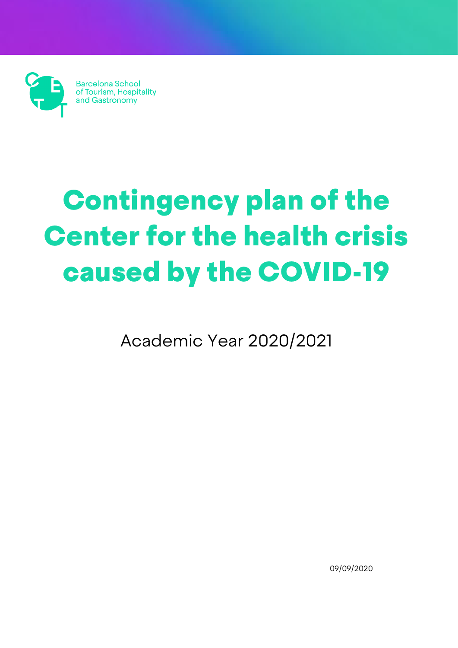Barcelona School<br>of Tourism, Hospitality<br>and Gastronomy

# Contingency plan of the Center for the health crisis caused by the COVID-19

Academic Year 2020/2021

09/09/2020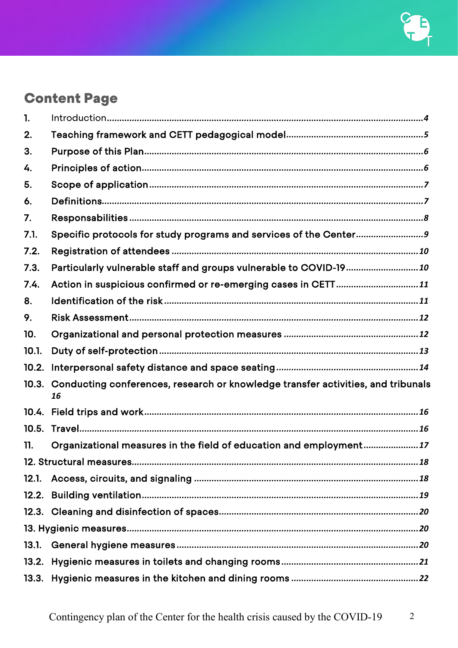## **Content Page**

| 1.    |                                                                                              |  |  |  |  |
|-------|----------------------------------------------------------------------------------------------|--|--|--|--|
| 2.    |                                                                                              |  |  |  |  |
| 3.    |                                                                                              |  |  |  |  |
| 4.    |                                                                                              |  |  |  |  |
| 5.    |                                                                                              |  |  |  |  |
| 6.    |                                                                                              |  |  |  |  |
| 7.    |                                                                                              |  |  |  |  |
| 7.1.  | Specific protocols for study programs and services of the Center9                            |  |  |  |  |
| 7.2.  |                                                                                              |  |  |  |  |
| 7.3.  | Particularly vulnerable staff and groups vulnerable to COVID-19 10                           |  |  |  |  |
| 7.4.  | Action in suspicious confirmed or re-emerging cases in CETT11                                |  |  |  |  |
| 8.    |                                                                                              |  |  |  |  |
| 9.    |                                                                                              |  |  |  |  |
| 10.   |                                                                                              |  |  |  |  |
| 10.1. |                                                                                              |  |  |  |  |
| 10.2. |                                                                                              |  |  |  |  |
|       | 10.3. Conducting conferences, research or knowledge transfer activities, and tribunals<br>16 |  |  |  |  |
|       |                                                                                              |  |  |  |  |
| 10.5. |                                                                                              |  |  |  |  |
| 11.   | Organizational measures in the field of education and employment17                           |  |  |  |  |
|       |                                                                                              |  |  |  |  |
| 12.1. |                                                                                              |  |  |  |  |
|       |                                                                                              |  |  |  |  |
|       |                                                                                              |  |  |  |  |
|       |                                                                                              |  |  |  |  |
| 13.1. |                                                                                              |  |  |  |  |
|       |                                                                                              |  |  |  |  |
|       |                                                                                              |  |  |  |  |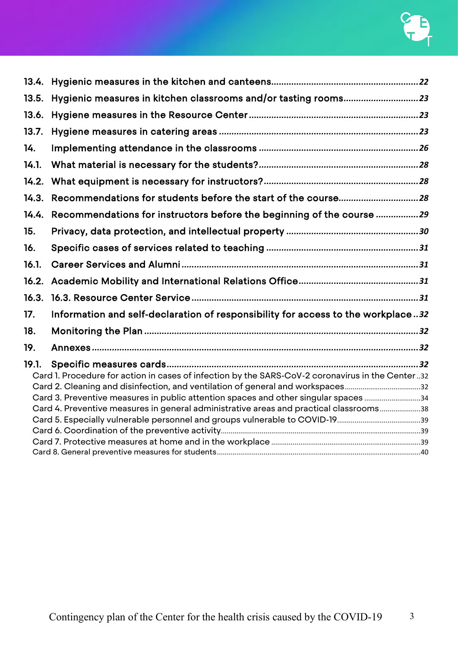| 13.5. | Hygienic measures in kitchen classrooms and/or tasting rooms23                                   |  |  |  |  |
|-------|--------------------------------------------------------------------------------------------------|--|--|--|--|
| 13.6. |                                                                                                  |  |  |  |  |
| 13.7. |                                                                                                  |  |  |  |  |
| 14.   |                                                                                                  |  |  |  |  |
| 14.1. |                                                                                                  |  |  |  |  |
| 14.2. |                                                                                                  |  |  |  |  |
| 14.3. | Recommendations for students before the start of the course28                                    |  |  |  |  |
| 14.4. | Recommendations for instructors before the beginning of the course 29                            |  |  |  |  |
| 15.   |                                                                                                  |  |  |  |  |
| 16.   |                                                                                                  |  |  |  |  |
| 16.1. |                                                                                                  |  |  |  |  |
| 16.2. |                                                                                                  |  |  |  |  |
| 16.3. |                                                                                                  |  |  |  |  |
| 17.   | Information and self-declaration of responsibility for access to the workplace32                 |  |  |  |  |
| 18.   |                                                                                                  |  |  |  |  |
| 19.   |                                                                                                  |  |  |  |  |
| 19.1. |                                                                                                  |  |  |  |  |
|       | Card 1. Procedure for action in cases of infection by the SARS-CoV-2 coronavirus in the Center32 |  |  |  |  |
|       | Card 2. Cleaning and disinfection, and ventilation of general and workspaces32                   |  |  |  |  |
|       | Card 3. Preventive measures in public attention spaces and other singular spaces 34              |  |  |  |  |
|       | Card 4. Preventive measures in general administrative areas and practical classrooms38           |  |  |  |  |
|       |                                                                                                  |  |  |  |  |
|       |                                                                                                  |  |  |  |  |
|       |                                                                                                  |  |  |  |  |
|       |                                                                                                  |  |  |  |  |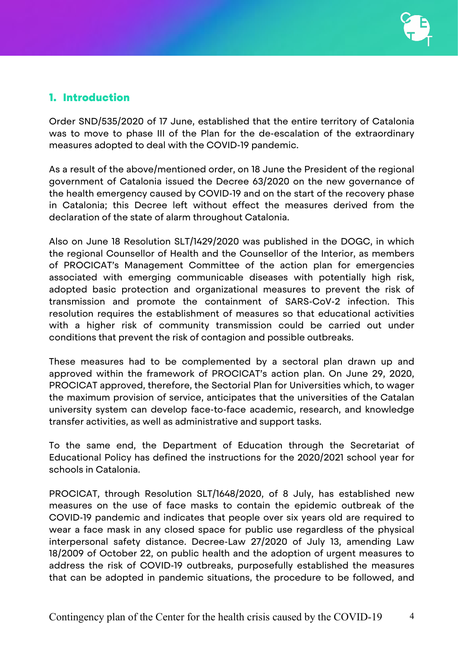## <span id="page-3-0"></span>1. Introduction

Order SND/535/2020 of 17 June, established that the entire territory of Catalonia was to move to phase III of the Plan for the de-escalation of the extraordinary measures adopted to deal with the COVID-19 pandemic.

As a result of the above/mentioned order, on 18 June the President of the regional government of Catalonia issued the Decree 63/2020 on the new governance of the health emergency caused by COVID-19 and on the start of the recovery phase in Catalonia; this Decree left without effect the measures derived from the declaration of the state of alarm throughout Catalonia.

Also on June 18 Resolution SLT/1429/2020 was published in the DOGC, in which the regional Counsellor of Health and the Counsellor of the Interior, as members of PROCICAT's Management Committee of the action plan for emergencies associated with emerging communicable diseases with potentially high risk, adopted basic protection and organizational measures to prevent the risk of transmission and promote the containment of SARS-CoV-2 infection. This resolution requires the establishment of measures so that educational activities with a higher risk of community transmission could be carried out under conditions that prevent the risk of contagion and possible outbreaks.

These measures had to be complemented by a sectoral plan drawn up and approved within the framework of PROCICAT's action plan. On June 29, 2020, PROCICAT approved, therefore, the Sectorial Plan for Universities which, to wager the maximum provision of service, anticipates that the universities of the Catalan university system can develop face-to-face academic, research, and knowledge transfer activities, as well as administrative and support tasks.

To the same end, the Department of Education through the Secretariat of Educational Policy has defined the instructions for the 2020/2021 school year for schools in Catalonia.

PROCICAT, through Resolution SLT/1648/2020, of 8 July, has established new measures on the use of face masks to contain the epidemic outbreak of the COVID-19 pandemic and indicates that people over six years old are required to wear a face mask in any closed space for public use regardless of the physical interpersonal safety distance. Decree-Law 27/2020 of July 13, amending Law 18/2009 of October 22, on public health and the adoption of urgent measures to address the risk of COVID-19 outbreaks, purposefully established the measures that can be adopted in pandemic situations, the procedure to be followed, and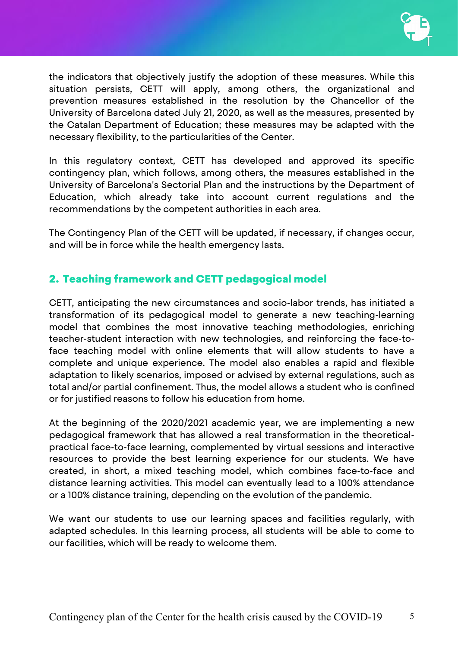

the indicators that objectively justify the adoption of these measures. While this situation persists, CETT will apply, among others, the organizational and prevention measures established in the resolution by the Chancellor of the University of Barcelona dated July 21, 2020, as well as the measures, presented by the Catalan Department of Education; these measures may be adapted with the necessary flexibility, to the particularities of the Center.

In this regulatory context, CETT has developed and approved its specific contingency plan, which follows, among others, the measures established in the University of Barcelona's Sectorial Plan and the instructions by the Department of Education, which already take into account current regulations and the recommendations by the competent authorities in each area.

The Contingency Plan of the CETT will be updated, if necessary, if changes occur, and will be in force while the health emergency lasts.

## <span id="page-4-0"></span>2. Teaching framework and CETT pedagogical model

CETT, anticipating the new circumstances and socio-labor trends, has initiated a transformation of its pedagogical model to generate a new teaching-learning model that combines the most innovative teaching methodologies, enriching teacher-student interaction with new technologies, and reinforcing the face-toface teaching model with online elements that will allow students to have a complete and unique experience. The model also enables a rapid and flexible adaptation to likely scenarios, imposed or advised by external regulations, such as total and/or partial confinement. Thus, the model allows a student who is confined or for justified reasons to follow his education from home.

At the beginning of the 2020/2021 academic year, we are implementing a new pedagogical framework that has allowed a real transformation in the theoreticalpractical face-to-face learning, complemented by virtual sessions and interactive resources to provide the best learning experience for our students. We have created, in short, a mixed teaching model, which combines face-to-face and distance learning activities. This model can eventually lead to a 100% attendance or a 100% distance training, depending on the evolution of the pandemic.

We want our students to use our learning spaces and facilities regularly, with adapted schedules. In this learning process, all students will be able to come to our facilities, which will be ready to welcome them.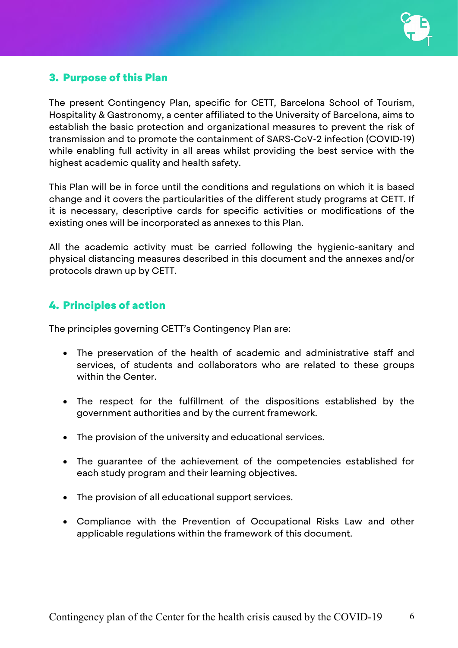

## <span id="page-5-0"></span>3. Purpose of this Plan

The present Contingency Plan, specific for CETT, Barcelona School of Tourism, Hospitality & Gastronomy, a center affiliated to the University of Barcelona, aims to establish the basic protection and organizational measures to prevent the risk of transmission and to promote the containment of SARS-CoV-2 infection (COVID-19) while enabling full activity in all areas whilst providing the best service with the highest academic quality and health safety.

This Plan will be in force until the conditions and regulations on which it is based change and it covers the particularities of the different study programs at CETT. If it is necessary, descriptive cards for specific activities or modifications of the existing ones will be incorporated as annexes to this Plan.

All the academic activity must be carried following the hygienic-sanitary and physical distancing measures described in this document and the annexes and/or protocols drawn up by CETT.

## <span id="page-5-1"></span>4. Principles of action

The principles governing CETT's Contingency Plan are:

- The preservation of the health of academic and administrative staff and services, of students and collaborators who are related to these groups within the Center.
- The respect for the fulfillment of the dispositions established by the government authorities and by the current framework.
- The provision of the university and educational services.
- The guarantee of the achievement of the competencies established for each study program and their learning objectives.
- The provision of all educational support services.
- Compliance with the Prevention of Occupational Risks Law and other applicable regulations within the framework of this document.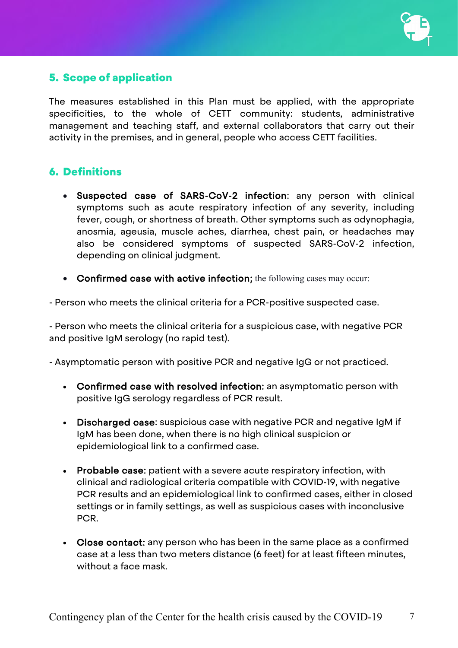## <span id="page-6-0"></span>5. Scope of application

The measures established in this Plan must be applied, with the appropriate specificities, to the whole of CETT community: students, administrative management and teaching staff, and external collaborators that carry out their activity in the premises, and in general, people who access CETT facilities.

## <span id="page-6-1"></span>6. Definitions

- Suspected case of SARS-CoV-2 infection: any person with clinical symptoms such as acute respiratory infection of any severity, including fever, cough, or shortness of breath. Other symptoms such as odynophagia, anosmia, ageusia, muscle aches, diarrhea, chest pain, or headaches may also be considered symptoms of suspected SARS-CoV-2 infection, depending on clinical judgment.
- Confirmed case with active infection; the following cases may occur:

- Person who meets the clinical criteria for a PCR-positive suspected case.

- Person who meets the clinical criteria for a suspicious case, with negative PCR and positive IgM serology (no rapid test).

- Asymptomatic person with positive PCR and negative IgG or not practiced.

- Confirmed case with resolved infection: an asymptomatic person with positive IgG serology regardless of PCR result.
- Discharged case: suspicious case with negative PCR and negative IgM if IgM has been done, when there is no high clinical suspicion or epidemiological link to a confirmed case.
- Probable case: patient with a severe acute respiratory infection, with clinical and radiological criteria compatible with COVID-19, with negative PCR results and an epidemiological link to confirmed cases, either in closed settings or in family settings, as well as suspicious cases with inconclusive PCR.
- Close contact: any person who has been in the same place as a confirmed case at a less than two meters distance (6 feet) for at least fifteen minutes, without a face mask.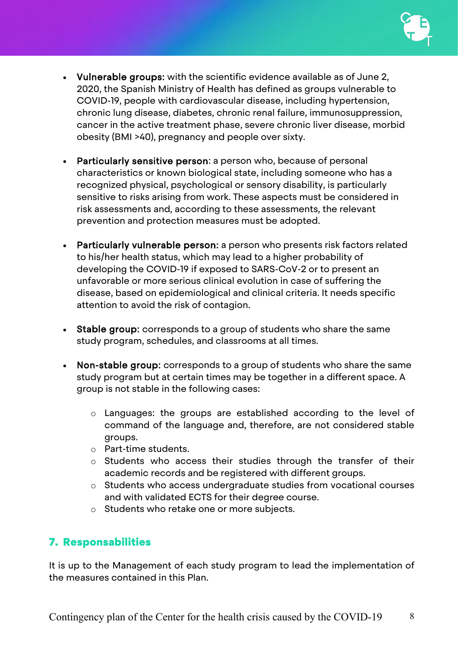

- Vulnerable groups: with the scientific evidence available as of June 2, 2020, the Spanish Ministry of Health has defined as groups vulnerable to COVID-19, people with cardiovascular disease, including hypertension, chronic lung disease, diabetes, chronic renal failure, immunosuppression, cancer in the active treatment phase, severe chronic liver disease, morbid obesity (BMI >40), pregnancy and people over sixty.
- Particularly sensitive person: a person who, because of personal characteristics or known biological state, including someone who has a recognized physical, psychological or sensory disability, is particularly sensitive to risks arising from work. These aspects must be considered in risk assessments and, according to these assessments, the relevant prevention and protection measures must be adopted.
- Particularly vulnerable person: a person who presents risk factors related to his/her health status, which may lead to a higher probability of developing the COVID-19 if exposed to SARS-CoV-2 or to present an unfavorable or more serious clinical evolution in case of suffering the disease, based on epidemiological and clinical criteria. It needs specific attention to avoid the risk of contagion.
- Stable group: corresponds to a group of students who share the same study program, schedules, and classrooms at all times.
- Non-stable group: corresponds to a group of students who share the same study program but at certain times may be together in a different space. A group is not stable in the following cases:
	- o Languages: the groups are established according to the level of command of the language and, therefore, are not considered stable groups.
	- o Part-time students.
	- o Students who access their studies through the transfer of their academic records and be registered with different groups.
	- o Students who access undergraduate studies from vocational courses and with validated ECTS for their degree course.
	- o Students who retake one or more subjects.

## <span id="page-7-0"></span>7. Responsabilities

It is up to the Management of each study program to lead the implementation of the measures contained in this Plan.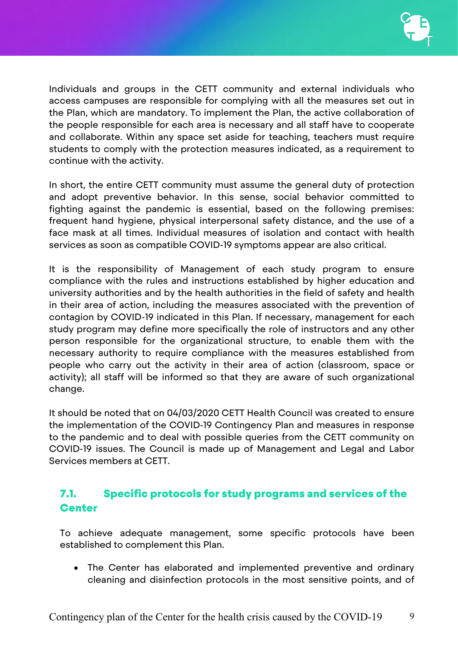

Individuals and groups in the CETT community and external individuals who access campuses are responsible for complying with all the measures set out in the Plan, which are mandatory. To implement the Plan, the active collaboration of the people responsible for each area is necessary and all staff have to cooperate and collaborate. Within any space set aside for teaching, teachers must require students to comply with the protection measures indicated, as a requirement to continue with the activity.

In short, the entire CETT community must assume the general duty of protection and adopt preventive behavior. In this sense, social behavior committed to fighting against the pandemic is essential, based on the following premises: frequent hand hygiene, physical interpersonal safety distance, and the use of a face mask at all times. Individual measures of isolation and contact with health services as soon as compatible COVID-19 symptoms appear are also critical.

It is the responsibility of Management of each study program to ensure compliance with the rules and instructions established by higher education and university authorities and by the health authorities in the field of safety and health in their area of action, including the measures associated with the prevention of contagion by COVID-19 indicated in this Plan. If necessary, management for each study program may define more specifically the role of instructors and any other person responsible for the organizational structure, to enable them with the necessary authority to require compliance with the measures established from people who carry out the activity in their area of action (classroom, space or activity); all staff will be informed so that they are aware of such organizational change.

It should be noted that on 04/03/2020 CETT Health Council was created to ensure the implementation of the COVID-19 Contingency Plan and measures in response to the pandemic and to deal with possible queries from the CETT community on COVID-19 issues. The Council is made up of Management and Legal and Labor Services members at CETT.

## <span id="page-8-0"></span>7.1. Specific protocols for study programs and services of the **Center**

To achieve adequate management, some specific protocols have been established to complement this Plan.

• The Center has elaborated and implemented preventive and ordinary cleaning and disinfection protocols in the most sensitive points, and of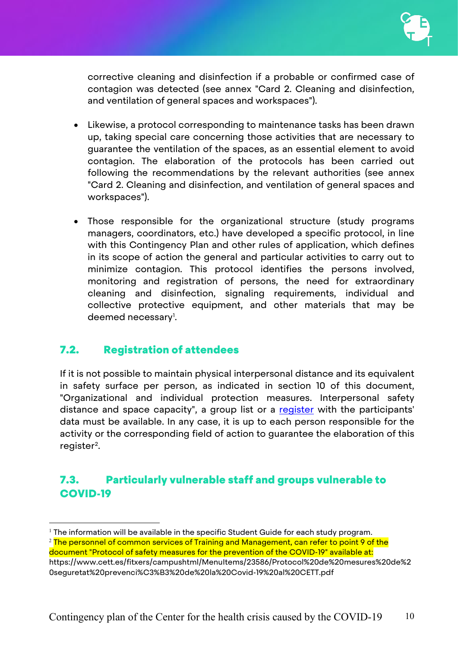corrective cleaning and disinfection if a probable or confirmed case of contagion was detected (see annex "Card 2. Cleaning and disinfection, and ventilation of general spaces and workspaces").

- Likewise, a protocol corresponding to maintenance tasks has been drawn up, taking special care concerning those activities that are necessary to guarantee the ventilation of the spaces, as an essential element to avoid contagion. The elaboration of the protocols has been carried out following the recommendations by the relevant authorities (see annex "Card 2. Cleaning and disinfection, and ventilation of general spaces and workspaces").
- Those responsible for the organizational structure (study programs managers, coordinators, etc.) have developed a specific protocol, in line with this Contingency Plan and other rules of application, which defines in its scope of action the general and particular activities to carry out to minimize contagion. This protocol identifies the persons involved, monitoring and registration of persons, the need for extraordinary cleaning and disinfection, signaling requirements, individual and collective protective equipment, and other materials that may be deemed necessary<sup>[1](#page-9-2)</sup>.

## <span id="page-9-0"></span>7.2. Registration of attendees

If it is not possible to maintain physical interpersonal distance and its equivalent in safety surface per person, as indicated in section 10 of this document, "Organizational and individual protection measures. Interpersonal safety distance and space capacity", a group list or a [register](https://www.cett.es/campus/formularis/altaFormulariEsquema.aspx?nom=sjl.covid19) with the participants' data must be available. In any case, it is up to each person responsible for the activity or the corresponding field of action to guarantee the elaboration of this register[2](#page-9-3).

## <span id="page-9-1"></span>7.3. Particularly vulnerable staff and groups vulnerable to COVID-19

<span id="page-9-2"></span><sup>&</sup>lt;sup>1</sup> The information will be available in the specific Student Guide for each study program.

<span id="page-9-3"></span><sup>&</sup>lt;sup>2</sup> The personnel of common services of Training and Management, can refer to point 9 of the

document "Protocol of safety measures for the prevention of the COVID-19" available at:

https://www.cett.es/fitxers/campushtml/MenuItems/23586/Protocol%20de%20mesures%20de%2 0seguretat%20prevenci%C3%B3%20de%20la%20Covid-19%20al%20CETT.pdf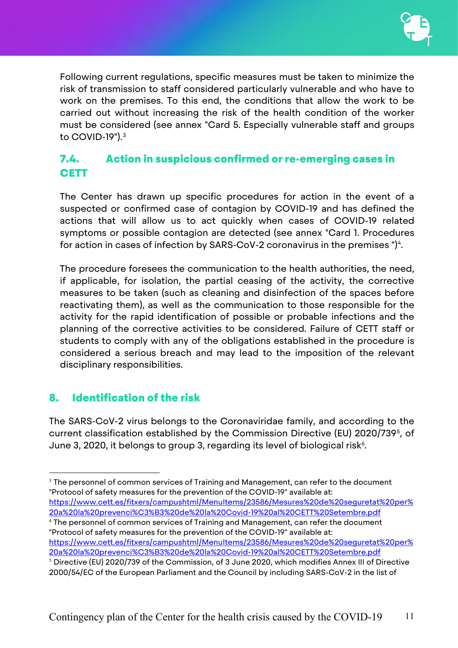

Following current regulations, specific measures must be taken to minimize the risk of transmission to staff considered particularly vulnerable and who have to work on the premises. To this end, the conditions that allow the work to be carried out without increasing the risk of the health condition of the worker must be considered (see annex "Card 5. Especially vulnerable staff and groups to COVID-19").[3](#page-10-2)

## <span id="page-10-0"></span>7.4. Action in suspicious confirmed or re-emerging cases in **CETT**

The Center has drawn up specific procedures for action in the event of a suspected or confirmed case of contagion by COVID-19 and has defined the actions that will allow us to act quickly when cases of COVID-19 related symptoms or possible contagion are detected (see annex "Card 1. Procedures for action in cases of infection by SARS-CoV-2 coronavirus in the premises " $)^4$  $)^4$ .

The procedure foresees the communication to the health authorities, the need, if applicable, for isolation, the partial ceasing of the activity, the corrective measures to be taken (such as cleaning and disinfection of the spaces before reactivating them), as well as the communication to those responsible for the activity for the rapid identification of possible or probable infections and the planning of the corrective activities to be considered. Failure of CETT staff or students to comply with any of the obligations established in the procedure is considered a serious breach and may lead to the imposition of the relevant disciplinary responsibilities.

## <span id="page-10-1"></span>8. Identification of the risk

The SARS-CoV-2 virus belongs to the Coronaviridae family, and according to the current classification established by the Commission Directive (EU) 2020/739[5,](#page-10-4) of June 3, 2020, it belongs to group 3, regarding its level of biological risk $^{\circ}$ .

<span id="page-10-2"></span> $3$  The personnel of common services of Training and Management, can refer to the document "Protocol of safety measures for the prevention of the COVID-19" available at: [https://www.cett.es/fitxers/campushtml/MenuItems/23586/Mesures%20de%20seguretat%20per%](https://www.cett.es/fitxers/campushtml/MenuItems/23586/Mesures%20de%20seguretat%20per%20a%20la%20prevenci%C3%B3%20de%20la%20Covid-19%20al%20CETT%20Setembre.pdf)

[20a%20la%20prevenci%C3%B3%20de%20la%20Covid-19%20al%20CETT%20Setembre.pdf](https://www.cett.es/fitxers/campushtml/MenuItems/23586/Mesures%20de%20seguretat%20per%20a%20la%20prevenci%C3%B3%20de%20la%20Covid-19%20al%20CETT%20Setembre.pdf) <sup>4</sup> The personnel of common services of Training and Management, can refer the document

<span id="page-10-5"></span><span id="page-10-3"></span>"Protocol of safety measures for the prevention of the COVID-19" available at: [https://www.cett.es/fitxers/campushtml/MenuItems/23586/Mesures%20de%20seguretat%20per%](https://www.cett.es/fitxers/campushtml/MenuItems/23586/Mesures%20de%20seguretat%20per%20a%20la%20prevenci%C3%B3%20de%20la%20Covid-19%20al%20CETT%20Setembre.pdf) [20a%20la%20prevenci%C3%B3%20de%20la%20Covid-19%20al%20CETT%20Setembre.pdf](https://www.cett.es/fitxers/campushtml/MenuItems/23586/Mesures%20de%20seguretat%20per%20a%20la%20prevenci%C3%B3%20de%20la%20Covid-19%20al%20CETT%20Setembre.pdf)

<span id="page-10-4"></span> $5$  Directive (EU) 2020/739 of the Commission, of 3 June 2020, which modifies Annex III of Directive 2000/54/EC of the European Parliament and the Council by including SARS-CoV-2 in the list of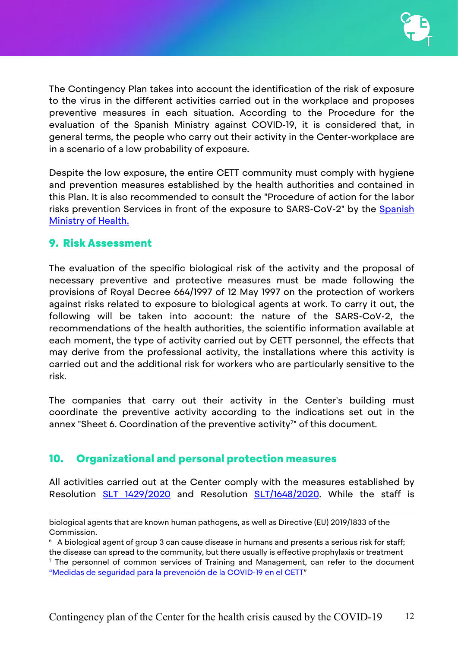The Contingency Plan takes into account the identification of the risk of exposure to the virus in the different activities carried out in the workplace and proposes preventive measures in each situation. According to the Procedure for the evaluation of the Spanish Ministry against COVID-19, it is considered that, in general terms, the people who carry out their activity in the Center-workplace are in a scenario of a low probability of exposure.

Despite the low exposure, the entire CETT community must comply with hygiene and prevention measures established by the health authorities and contained in this Plan. It is also recommended to consult the "Procedure of action for the labor risks prevention Services in front of the exposure to SARS-CoV-2" by the Spanish [Ministry of Health.](https://www.mscbs.gob.es/profesionales/saludPublica/ccayes/alertasActual/nCov/documentos/Proteccion_Trabajadores_SARS-CoV-2.pdf)

## <span id="page-11-0"></span>9. Risk Assessment

 $\overline{a}$ 

The evaluation of the specific biological risk of the activity and the proposal of necessary preventive and protective measures must be made following the provisions of Royal Decree 664/1997 of 12 May 1997 on the protection of workers against risks related to exposure to biological agents at work. To carry it out, the following will be taken into account: the nature of the SARS-CoV-2, the recommendations of the health authorities, the scientific information available at each moment, the type of activity carried out by CETT personnel, the effects that may derive from the professional activity, the installations where this activity is carried out and the additional risk for workers who are particularly sensitive to the risk.

The companies that carry out their activity in the Center's building must coordinate the preventive activity according to the indications set out in the annex "Sheet 6. Coordination of the preventive activity<sup>[7](#page-11-2)</sup>" of this document.

## <span id="page-11-1"></span>10. Organizational and personal protection measures

All activities carried out at the Center comply with the measures established by Resolution [SLT 1429/2020](https://dogc.gencat.cat/ca/pdogc_canals_interns/pdogc_resultats_fitxa/?action=fitxa&documentId=875707&language=ca_ES) and Resolution [SLT/1648/2020.](https://portaldogc.gencat.cat/utilsEADOP/PDF/8173/1803866.pdf) While the staff is

biological agents that are known human pathogens, as well as Directive (EU) 2019/1833 of the Commission.

 $6$  A biological agent of group 3 can cause disease in humans and presents a serious risk for staff; the disease can spread to the community, but there usually is effective prophylaxis or treatment

<span id="page-11-2"></span> $<sup>7</sup>$  The personnel of common services of Training and Management, can refer to the document</sup> ["Medidas de seguridad para la prevención de la COVID-19 en el CETT"](https://www.cett.es/fitxers/campushtml/MenuItems/23586/Mesures%20de%20seguretat%20per%20a%20la%20prevenci%C3%B3%20de%20la%20Covid-19%20al%20CETT%20Setembre.pdf)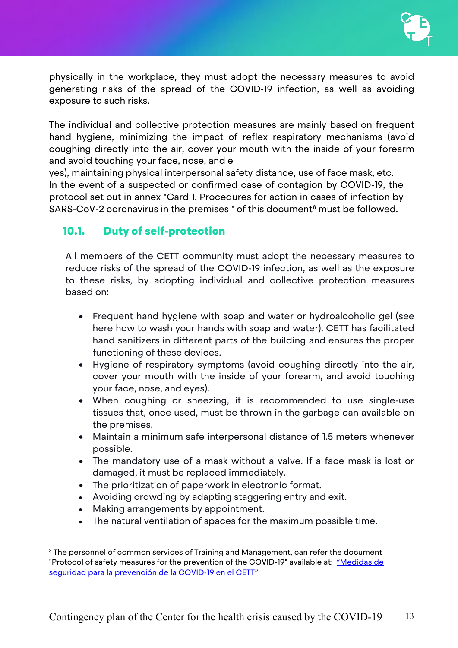

physically in the workplace, they must adopt the necessary measures to avoid generating risks of the spread of the COVID-19 infection, as well as avoiding exposure to such risks.

The individual and collective protection measures are mainly based on frequent hand hygiene, minimizing the impact of reflex respiratory mechanisms (avoid coughing directly into the air, cover your mouth with the inside of your forearm and avoid touching your face, nose, and e

yes), maintaining physical interpersonal safety distance, use of face mask, etc. In the event of a suspected or confirmed case of contagion by COVID-19, the protocol set out in annex "Card 1. Procedures for action in cases of infection by SARS-CoV-2 coronavirus in the premises " of this document<sup>[8](#page-12-1)</sup> must be followed.

## <span id="page-12-0"></span>10.1. Duty of self-protection

All members of the CETT community must adopt the necessary measures to reduce risks of the spread of the COVID-19 infection, as well as the exposure to these risks, by adopting individual and collective protection measures based on:

- Frequent hand hygiene with soap and water or hydroalcoholic gel (see here how to wash your hands with soap and water). CETT has facilitated hand sanitizers in different parts of the building and ensures the proper functioning of these devices.
- Hygiene of respiratory symptoms (avoid coughing directly into the air, cover your mouth with the inside of your forearm, and avoid touching your face, nose, and eyes).
- When coughing or sneezing, it is recommended to use single-use tissues that, once used, must be thrown in the garbage can available on the premises.
- Maintain a minimum safe interpersonal distance of 1.5 meters whenever possible.
- The mandatory use of a mask without a valve. If a face mask is lost or damaged, it must be replaced immediately.
- The prioritization of paperwork in electronic format.
- Avoiding crowding by adapting staggering entry and exit.
- Making arrangements by appointment.
- The natural ventilation of spaces for the maximum possible time.

<span id="page-12-1"></span> $8$  The personnel of common services of Training and Management, can refer the document "Protocol of safety measures for the prevention of the COVID-19" available at: "Medidas de [seguridad para la prevención de la COVID-19 en el CETT"](https://www.cett.es/fitxers/campushtml/MenuItems/23586/Mesures%20de%20seguretat%20per%20a%20la%20prevenci%C3%B3%20de%20la%20Covid-19%20al%20CETT%20Setembre.pdf)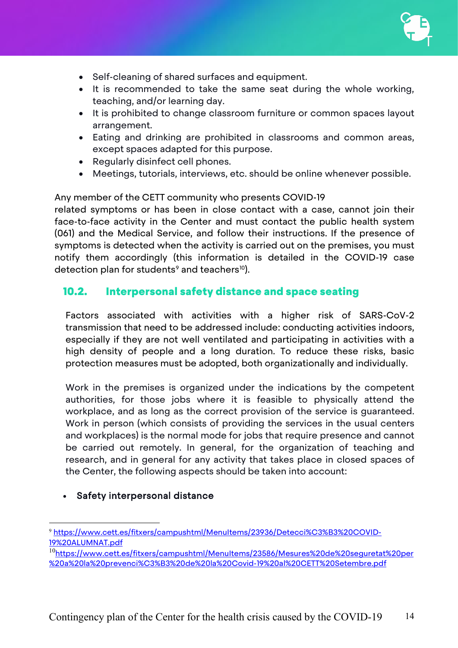

- Self-cleaning of shared surfaces and equipment.
- It is recommended to take the same seat during the whole working, teaching, and/or learning day.
- It is prohibited to change classroom furniture or common spaces layout arrangement.
- Eating and drinking are prohibited in classrooms and common areas, except spaces adapted for this purpose.
- Regularly disinfect cell phones.
- Meetings, tutorials, interviews, etc. should be online whenever possible.

Any member of the CETT community who presents COVID-19

related symptoms or has been in close contact with a case, cannot join their face-to-face activity in the Center and must contact the public health system (061) and the Medical Service, and follow their instructions. If the presence of symptoms is detected when the activity is carried out on the premises, you must notify them accordingly (this information is detailed in the COVID-19 case detection plan for students<sup>[9](#page-13-1)</sup> and teachers<sup>[10](#page-13-2)</sup>).

### <span id="page-13-0"></span>10.2. Interpersonal safety distance and space seating

Factors associated with activities with a higher risk of SARS-CoV-2 transmission that need to be addressed include: conducting activities indoors, especially if they are not well ventilated and participating in activities with a high density of people and a long duration. To reduce these risks, basic protection measures must be adopted, both organizationally and individually.

Work in the premises is organized under the indications by the competent authorities, for those jobs where it is feasible to physically attend the workplace, and as long as the correct provision of the service is guaranteed. Work in person (which consists of providing the services in the usual centers and workplaces) is the normal mode for jobs that require presence and cannot be carried out remotely. In general, for the organization of teaching and research, and in general for any activity that takes place in closed spaces of the Center, the following aspects should be taken into account:

#### Safety interpersonal distance

<span id="page-13-1"></span> <sup>9</sup> [https://www.cett.es/fitxers/campushtml/MenuItems/23936/Detecci%C3%B3%20COVID-](https://www.cett.es/fitxers/campushtml/MenuItems/23936/Detecci%C3%B3%20COVID-19%20ALUMNAT.pdf)[19%20ALUMNAT.pdf](https://www.cett.es/fitxers/campushtml/MenuItems/23936/Detecci%C3%B3%20COVID-19%20ALUMNAT.pdf)

<span id="page-13-2"></span><sup>&</sup>lt;sup>10</sup>[https://www.cett.es/fitxers/campushtml/MenuItems/23586/Mesures%20de%20seguretat%20per](https://www.cett.es/fitxers/campushtml/MenuItems/23586/Mesures%20de%20seguretat%20per%20a%20la%20prevenci%C3%B3%20de%20la%20Covid-19%20al%20CETT%20Setembre.pdf) [%20a%20la%20prevenci%C3%B3%20de%20la%20Covid-19%20al%20CETT%20Setembre.pdf](https://www.cett.es/fitxers/campushtml/MenuItems/23586/Mesures%20de%20seguretat%20per%20a%20la%20prevenci%C3%B3%20de%20la%20Covid-19%20al%20CETT%20Setembre.pdf)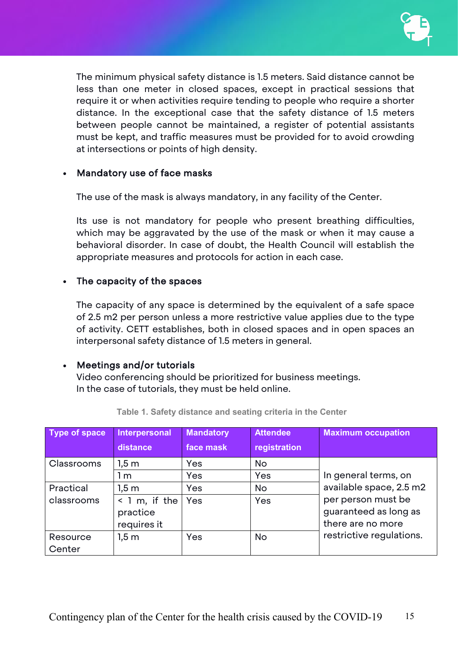

The minimum physical safety distance is 1.5 meters. Said distance cannot be less than one meter in closed spaces, except in practical sessions that require it or when activities require tending to people who require a shorter distance. In the exceptional case that the safety distance of 1.5 meters between people cannot be maintained, a register of potential assistants must be kept, and traffic measures must be provided for to avoid crowding at intersections or points of high density.

#### • Mandatory use of face masks

The use of the mask is always mandatory, in any facility of the Center.

Its use is not mandatory for people who present breathing difficulties, which may be aggravated by the use of the mask or when it may cause a behavioral disorder. In case of doubt, the Health Council will establish the appropriate measures and protocols for action in each case.

#### • The capacity of the spaces

The capacity of any space is determined by the equivalent of a safe space of 2.5 m2 per person unless a more restrictive value applies due to the type of activity. CETT establishes, both in closed spaces and in open spaces an interpersonal safety distance of 1.5 meters in general.

#### • Meetings and/or tutorials

Video conferencing should be prioritized for business meetings. In the case of tutorials, they must be held online.

| <b>Type of space</b> | Interpersonal       | <b>Mandatory</b> | <b>Attendee</b>    | <b>Maximum occupation</b>                       |
|----------------------|---------------------|------------------|--------------------|-------------------------------------------------|
|                      | distance            | face mask        | registration       |                                                 |
| Classrooms           | 1.5 <sub>m</sub>    | Yes              | <b>No</b>          |                                                 |
|                      | 1 m                 | Yes              | Yes                | In general terms, on<br>available space, 2.5 m2 |
| Practical            | $1,5 \, \mathrm{m}$ | Yes              | <b>No</b>          |                                                 |
| classrooms           | $<$ 1 m, if the     | Yes<br>Yes       | per person must be |                                                 |
|                      | practice            |                  |                    | guaranteed as long as                           |
|                      | requires it         |                  |                    | there are no more                               |
| Resource             | $1,5 \, \mathrm{m}$ | Yes              | <b>No</b>          | restrictive regulations.                        |
| Center               |                     |                  |                    |                                                 |

**Table 1. Safety distance and seating criteria in the Center**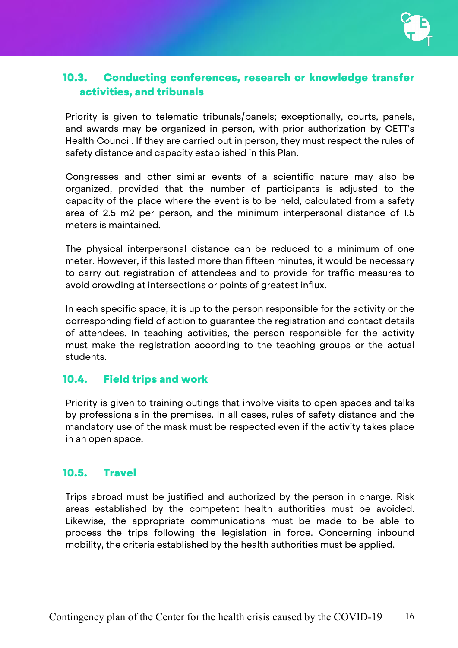

## <span id="page-15-0"></span>10.3. Conducting conferences, research or knowledge transfer activities, and tribunals

Priority is given to telematic tribunals/panels; exceptionally, courts, panels, and awards may be organized in person, with prior authorization by CETT's Health Council. If they are carried out in person, they must respect the rules of safety distance and capacity established in this Plan.

Congresses and other similar events of a scientific nature may also be organized, provided that the number of participants is adjusted to the capacity of the place where the event is to be held, calculated from a safety area of 2.5 m2 per person, and the minimum interpersonal distance of 1.5 meters is maintained.

The physical interpersonal distance can be reduced to a minimum of one meter. However, if this lasted more than fifteen minutes, it would be necessary to carry out registration of attendees and to provide for traffic measures to avoid crowding at intersections or points of greatest influx.

In each specific space, it is up to the person responsible for the activity or the corresponding field of action to guarantee the registration and contact details of attendees. In teaching activities, the person responsible for the activity must make the registration according to the teaching groups or the actual students.

#### <span id="page-15-1"></span>10.4. Field trips and work

Priority is given to training outings that involve visits to open spaces and talks by professionals in the premises. In all cases, rules of safety distance and the mandatory use of the mask must be respected even if the activity takes place in an open space.

## <span id="page-15-2"></span>10.5. Travel

Trips abroad must be justified and authorized by the person in charge. Risk areas established by the competent health authorities must be avoided. Likewise, the appropriate communications must be made to be able to process the trips following the legislation in force. Concerning inbound mobility, the criteria established by the health authorities must be applied.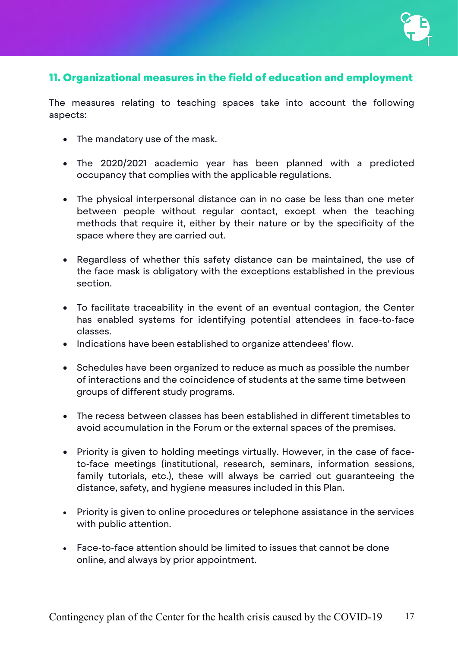

## <span id="page-16-0"></span>11. Organizational measures in the field of education and employment

The measures relating to teaching spaces take into account the following aspects:

- The mandatory use of the mask.
- The 2020/2021 academic year has been planned with a predicted occupancy that complies with the applicable regulations.
- The physical interpersonal distance can in no case be less than one meter between people without regular contact, except when the teaching methods that require it, either by their nature or by the specificity of the space where they are carried out.
- Regardless of whether this safety distance can be maintained, the use of the face mask is obligatory with the exceptions established in the previous section.
- To facilitate traceability in the event of an eventual contagion, the Center has enabled systems for identifying potential attendees in face-to-face classes.
- Indications have been established to organize attendees' flow.
- Schedules have been organized to reduce as much as possible the number of interactions and the coincidence of students at the same time between groups of different study programs.
- The recess between classes has been established in different timetables to avoid accumulation in the Forum or the external spaces of the premises.
- Priority is given to holding meetings virtually. However, in the case of faceto-face meetings (institutional, research, seminars, information sessions, family tutorials, etc.), these will always be carried out guaranteeing the distance, safety, and hygiene measures included in this Plan.
- Priority is given to online procedures or telephone assistance in the services with public attention.
- Face-to-face attention should be limited to issues that cannot be done online, and always by prior appointment.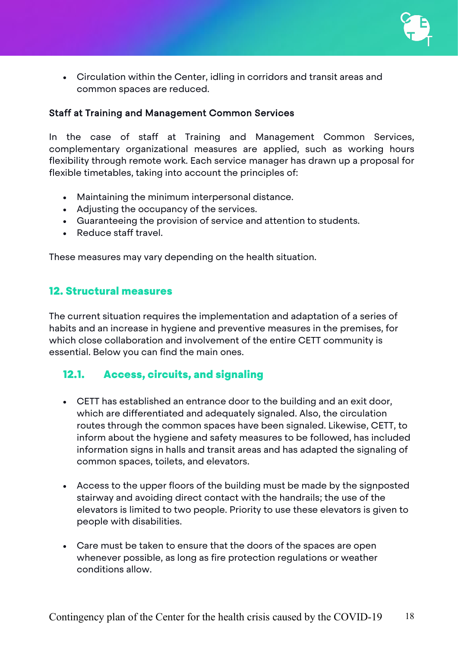

• Circulation within the Center, idling in corridors and transit areas and common spaces are reduced.

#### Staff at Training and Management Common Services

In the case of staff at Training and Management Common Services, complementary organizational measures are applied, such as working hours flexibility through remote work. Each service manager has drawn up a proposal for flexible timetables, taking into account the principles of:

- Maintaining the minimum interpersonal distance.
- Adjusting the occupancy of the services.
- Guaranteeing the provision of service and attention to students.
- Reduce staff travel.

These measures may vary depending on the health situation.

## <span id="page-17-0"></span>12. Structural measures

The current situation requires the implementation and adaptation of a series of habits and an increase in hygiene and preventive measures in the premises, for which close collaboration and involvement of the entire CETT community is essential. Below you can find the main ones.

## <span id="page-17-1"></span>12.1. Access, circuits, and signaling

- CETT has established an entrance door to the building and an exit door, which are differentiated and adequately signaled. Also, the circulation routes through the common spaces have been signaled. Likewise, CETT, to inform about the hygiene and safety measures to be followed, has included information signs in halls and transit areas and has adapted the signaling of common spaces, toilets, and elevators.
- Access to the upper floors of the building must be made by the signposted stairway and avoiding direct contact with the handrails; the use of the elevators is limited to two people. Priority to use these elevators is given to people with disabilities.
- Care must be taken to ensure that the doors of the spaces are open whenever possible, as long as fire protection regulations or weather conditions allow.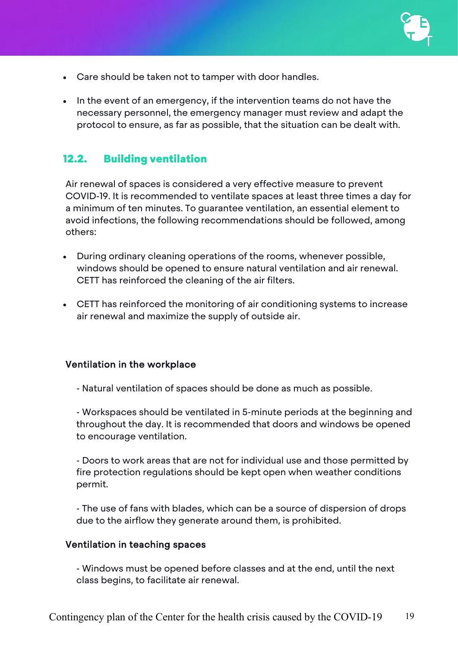

- Care should be taken not to tamper with door handles.
- In the event of an emergency, if the intervention teams do not have the necessary personnel, the emergency manager must review and adapt the protocol to ensure, as far as possible, that the situation can be dealt with.

## <span id="page-18-0"></span>12.2. Building ventilation

Air renewal of spaces is considered a very effective measure to prevent COVID-19. It is recommended to ventilate spaces at least three times a day for a minimum of ten minutes. To guarantee ventilation, an essential element to avoid infections, the following recommendations should be followed, among others:

- During ordinary cleaning operations of the rooms, whenever possible, windows should be opened to ensure natural ventilation and air renewal. CETT has reinforced the cleaning of the air filters.
- CETT has reinforced the monitoring of air conditioning systems to increase air renewal and maximize the supply of outside air.

#### Ventilation in the workplace

- Natural ventilation of spaces should be done as much as possible.

- Workspaces should be ventilated in 5-minute periods at the beginning and throughout the day. It is recommended that doors and windows be opened to encourage ventilation.

- Doors to work areas that are not for individual use and those permitted by fire protection regulations should be kept open when weather conditions permit.

- The use of fans with blades, which can be a source of dispersion of drops due to the airflow they generate around them, is prohibited.

#### Ventilation in teaching spaces

- Windows must be opened before classes and at the end, until the next class begins, to facilitate air renewal.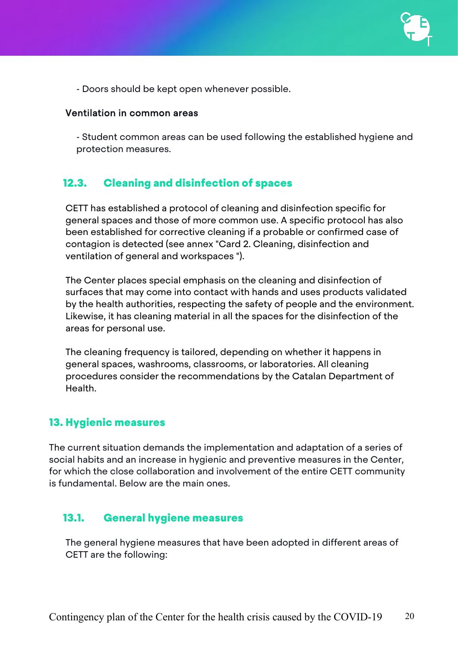

- Doors should be kept open whenever possible.

#### Ventilation in common areas

- Student common areas can be used following the established hygiene and protection measures.

#### <span id="page-19-0"></span>12.3. Cleaning and disinfection of spaces

CETT has established a protocol of cleaning and disinfection specific for general spaces and those of more common use. A specific protocol has also been established for corrective cleaning if a probable or confirmed case of contagion is detected (see annex "Card 2. Cleaning, disinfection and ventilation of general and workspaces ").

The Center places special emphasis on the cleaning and disinfection of surfaces that may come into contact with hands and uses products validated by the health authorities, respecting the safety of people and the environment. Likewise, it has cleaning material in all the spaces for the disinfection of the areas for personal use.

The cleaning frequency is tailored, depending on whether it happens in general spaces, washrooms, classrooms, or laboratories. All cleaning procedures consider the recommendations by the Catalan Department of Health.

#### <span id="page-19-1"></span>13. Hygienic measures

The current situation demands the implementation and adaptation of a series of social habits and an increase in hygienic and preventive measures in the Center, for which the close collaboration and involvement of the entire CETT community is fundamental. Below are the main ones.

#### <span id="page-19-2"></span>13.1. General hygiene measures

The general hygiene measures that have been adopted in different areas of CETT are the following: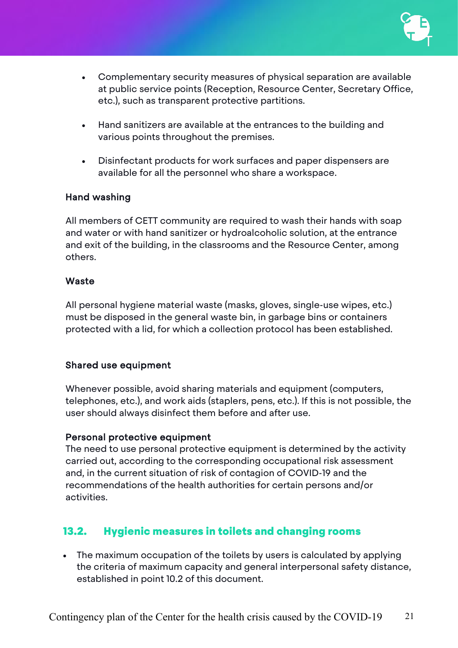

- Complementary security measures of physical separation are available at public service points (Reception, Resource Center, Secretary Office, etc.), such as transparent protective partitions.
- Hand sanitizers are available at the entrances to the building and various points throughout the premises.
- Disinfectant products for work surfaces and paper dispensers are available for all the personnel who share a workspace.

#### Hand washing

All members of CETT community are required to wash their hands with soap and water or with hand sanitizer or hydroalcoholic solution, at the entrance and exit of the building, in the classrooms and the Resource Center, among others.

#### **Waste**

All personal hygiene material waste (masks, gloves, single-use wipes, etc.) must be disposed in the general waste bin, in garbage bins or containers protected with a lid, for which a collection protocol has been established.

#### Shared use equipment

Whenever possible, avoid sharing materials and equipment (computers, telephones, etc.), and work aids (staplers, pens, etc.). If this is not possible, the user should always disinfect them before and after use.

#### Personal protective equipment

The need to use personal protective equipment is determined by the activity carried out, according to the corresponding occupational risk assessment and, in the current situation of risk of contagion of COVID-19 and the recommendations of the health authorities for certain persons and/or activities.

## <span id="page-20-0"></span>13.2. Hygienic measures in toilets and changing rooms

• The maximum occupation of the toilets by users is calculated by applying the criteria of maximum capacity and general interpersonal safety distance, established in point 10.2 of this document.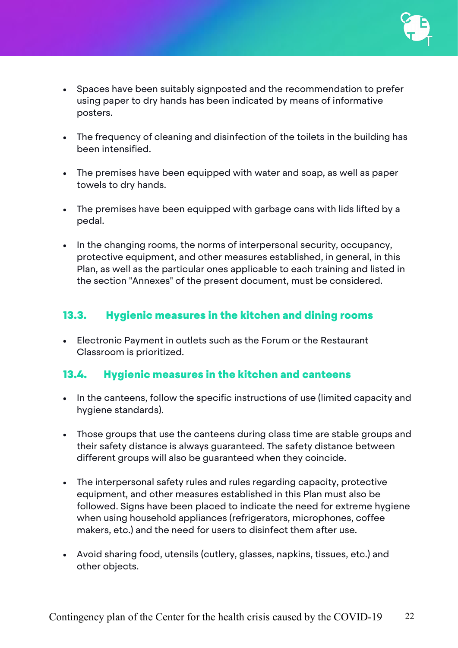- Spaces have been suitably signposted and the recommendation to prefer using paper to dry hands has been indicated by means of informative posters.
- The frequency of cleaning and disinfection of the toilets in the building has been intensified.
- The premises have been equipped with water and soap, as well as paper towels to dry hands.
- The premises have been equipped with garbage cans with lids lifted by a pedal.
- In the changing rooms, the norms of interpersonal security, occupancy, protective equipment, and other measures established, in general, in this Plan, as well as the particular ones applicable to each training and listed in the section "Annexes" of the present document, must be considered.

## <span id="page-21-0"></span>13.3. Hygienic measures in the kitchen and dining rooms

• Electronic Payment in outlets such as the Forum or the Restaurant Classroom is prioritized.

## <span id="page-21-1"></span>13.4. Hygienic measures in the kitchen and canteens

- In the canteens, follow the specific instructions of use (limited capacity and hygiene standards).
- Those groups that use the canteens during class time are stable groups and their safety distance is always guaranteed. The safety distance between different groups will also be guaranteed when they coincide.
- The interpersonal safety rules and rules regarding capacity, protective equipment, and other measures established in this Plan must also be followed. Signs have been placed to indicate the need for extreme hygiene when using household appliances (refrigerators, microphones, coffee makers, etc.) and the need for users to disinfect them after use.
- Avoid sharing food, utensils (cutlery, glasses, napkins, tissues, etc.) and other objects.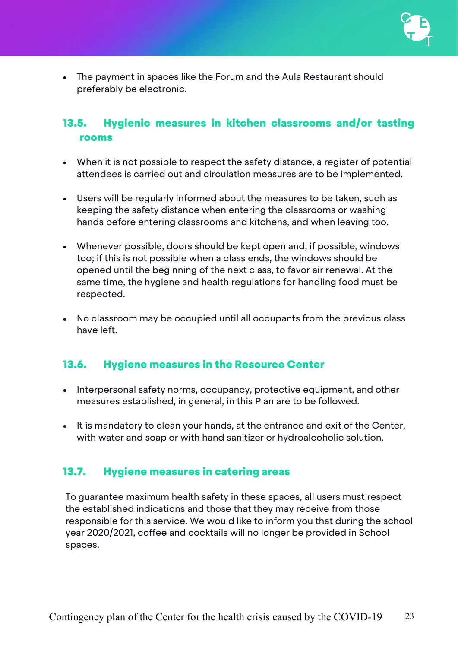

• The payment in spaces like the Forum and the Aula Restaurant should preferably be electronic.

## <span id="page-22-0"></span>13.5. Hygienic measures in kitchen classrooms and/or tasting rooms

- When it is not possible to respect the safety distance, a register of potential attendees is carried out and circulation measures are to be implemented.
- Users will be regularly informed about the measures to be taken, such as keeping the safety distance when entering the classrooms or washing hands before entering classrooms and kitchens, and when leaving too.
- Whenever possible, doors should be kept open and, if possible, windows too; if this is not possible when a class ends, the windows should be opened until the beginning of the next class, to favor air renewal. At the same time, the hygiene and health regulations for handling food must be respected.
- No classroom may be occupied until all occupants from the previous class have left.

## <span id="page-22-1"></span>13.6. Hygiene measures in the Resource Center

- Interpersonal safety norms, occupancy, protective equipment, and other measures established, in general, in this Plan are to be followed.
- It is mandatory to clean your hands, at the entrance and exit of the Center, with water and soap or with hand sanitizer or hydroalcoholic solution.

## <span id="page-22-2"></span>13.7. Hygiene measures in catering areas

To guarantee maximum health safety in these spaces, all users must respect the established indications and those that they may receive from those responsible for this service. We would like to inform you that during the school year 2020/2021, coffee and cocktails will no longer be provided in School spaces.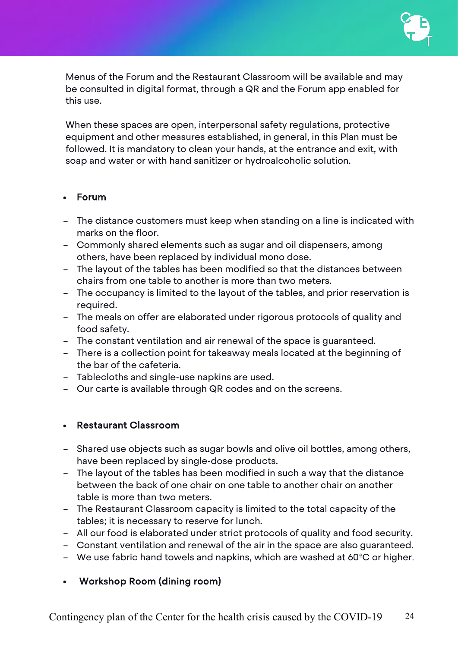

Menus of the Forum and the Restaurant Classroom will be available and may be consulted in digital format, through a QR and the Forum app enabled for this use.

When these spaces are open, interpersonal safety regulations, protective equipment and other measures established, in general, in this Plan must be followed. It is mandatory to clean your hands, at the entrance and exit, with soap and water or with hand sanitizer or hydroalcoholic solution.

#### • Forum

- The distance customers must keep when standing on a line is indicated with marks on the floor.
- Commonly shared elements such as sugar and oil dispensers, among others, have been replaced by individual mono dose.
- The layout of the tables has been modified so that the distances between chairs from one table to another is more than two meters.
- The occupancy is limited to the layout of the tables, and prior reservation is required.
- The meals on offer are elaborated under rigorous protocols of quality and food safety.
- The constant ventilation and air renewal of the space is guaranteed.
- There is a collection point for takeaway meals located at the beginning of the bar of the cafeteria.
- Tablecloths and single-use napkins are used.
- Our carte is available through QR codes and on the screens.

#### • Restaurant Classroom

- Shared use objects such as sugar bowls and olive oil bottles, among others, have been replaced by single-dose products.
- The layout of the tables has been modified in such a way that the distance between the back of one chair on one table to another chair on another table is more than two meters.
- The Restaurant Classroom capacity is limited to the total capacity of the tables; it is necessary to reserve for lunch.
- All our food is elaborated under strict protocols of quality and food security.
- Constant ventilation and renewal of the air in the space are also guaranteed.
- We use fabric hand towels and napkins, which are washed at 60ªC or higher.

#### • Workshop Room (dining room)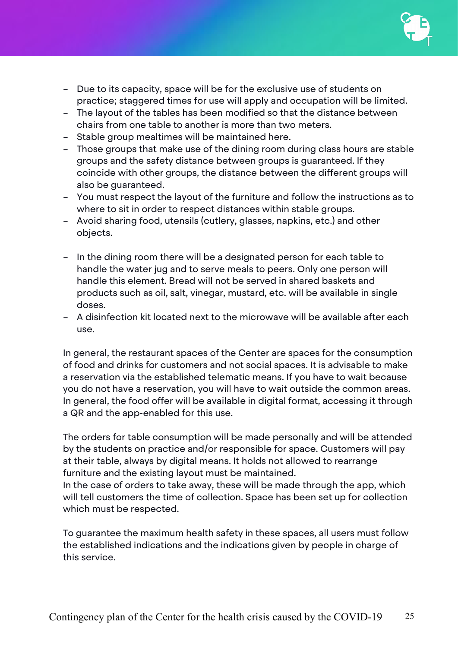

- Due to its capacity, space will be for the exclusive use of students on practice; staggered times for use will apply and occupation will be limited.
- The layout of the tables has been modified so that the distance between chairs from one table to another is more than two meters.
- Stable group mealtimes will be maintained here.
- Those groups that make use of the dining room during class hours are stable groups and the safety distance between groups is guaranteed. If they coincide with other groups, the distance between the different groups will also be guaranteed.
- You must respect the layout of the furniture and follow the instructions as to where to sit in order to respect distances within stable groups.
- Avoid sharing food, utensils (cutlery, glasses, napkins, etc.) and other objects.
- In the dining room there will be a designated person for each table to handle the water jug and to serve meals to peers. Only one person will handle this element. Bread will not be served in shared baskets and products such as oil, salt, vinegar, mustard, etc. will be available in single doses.
- A disinfection kit located next to the microwave will be available after each use.

In general, the restaurant spaces of the Center are spaces for the consumption of food and drinks for customers and not social spaces. It is advisable to make a reservation via the established telematic means. If you have to wait because you do not have a reservation, you will have to wait outside the common areas. In general, the food offer will be available in digital format, accessing it through a QR and the app-enabled for this use.

The orders for table consumption will be made personally and will be attended by the students on practice and/or responsible for space. Customers will pay at their table, always by digital means. It holds not allowed to rearrange furniture and the existing layout must be maintained.

In the case of orders to take away, these will be made through the app, which will tell customers the time of collection. Space has been set up for collection which must be respected.

To guarantee the maximum health safety in these spaces, all users must follow the established indications and the indications given by people in charge of this service.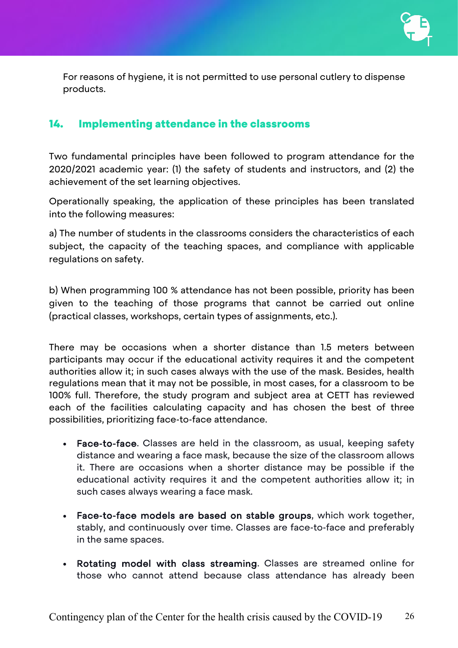

For reasons of hygiene, it is not permitted to use personal cutlery to dispense products.

#### <span id="page-25-0"></span>14. Implementing attendance in the classrooms

Two fundamental principles have been followed to program attendance for the 2020/2021 academic year: (1) the safety of students and instructors, and (2) the achievement of the set learning objectives.

Operationally speaking, the application of these principles has been translated into the following measures:

a) The number of students in the classrooms considers the characteristics of each subject, the capacity of the teaching spaces, and compliance with applicable regulations on safety.

b) When programming 100 % attendance has not been possible, priority has been given to the teaching of those programs that cannot be carried out online (practical classes, workshops, certain types of assignments, etc.).

There may be occasions when a shorter distance than 1.5 meters between participants may occur if the educational activity requires it and the competent authorities allow it; in such cases always with the use of the mask. Besides, health regulations mean that it may not be possible, in most cases, for a classroom to be 100% full. Therefore, the study program and subject area at CETT has reviewed each of the facilities calculating capacity and has chosen the best of three possibilities, prioritizing face-to-face attendance.

- Face-to-face. Classes are held in the classroom, as usual, keeping safety distance and wearing a face mask, because the size of the classroom allows it. There are occasions when a shorter distance may be possible if the educational activity requires it and the competent authorities allow it; in such cases always wearing a face mask.
- Face-to-face models are based on stable groups, which work together, stably, and continuously over time. Classes are face-to-face and preferably in the same spaces.
- Rotating model with class streaming. Classes are streamed online for those who cannot attend because class attendance has already been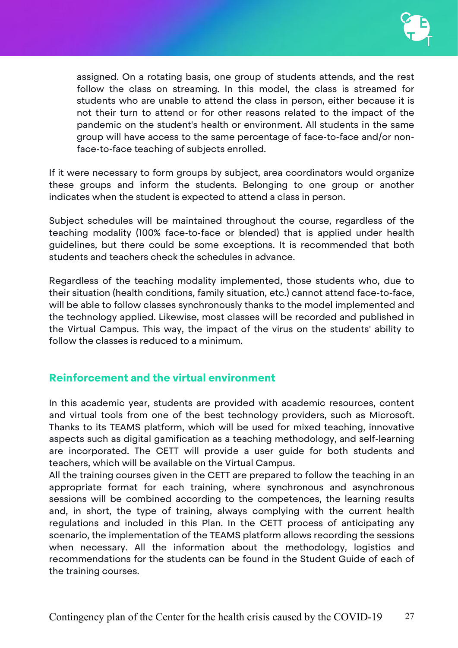

assigned. On a rotating basis, one group of students attends, and the rest follow the class on streaming. In this model, the class is streamed for students who are unable to attend the class in person, either because it is not their turn to attend or for other reasons related to the impact of the pandemic on the student's health or environment. All students in the same group will have access to the same percentage of face-to-face and/or nonface-to-face teaching of subjects enrolled.

If it were necessary to form groups by subject, area coordinators would organize these groups and inform the students. Belonging to one group or another indicates when the student is expected to attend a class in person.

Subject schedules will be maintained throughout the course, regardless of the teaching modality (100% face-to-face or blended) that is applied under health guidelines, but there could be some exceptions. It is recommended that both students and teachers check the schedules in advance.

Regardless of the teaching modality implemented, those students who, due to their situation (health conditions, family situation, etc.) cannot attend face-to-face, will be able to follow classes synchronously thanks to the model implemented and the technology applied. Likewise, most classes will be recorded and published in the Virtual Campus. This way, the impact of the virus on the students' ability to follow the classes is reduced to a minimum.

## Reinforcement and the virtual environment

In this academic year, students are provided with academic resources, content and virtual tools from one of the best technology providers, such as Microsoft. Thanks to its TEAMS platform, which will be used for mixed teaching, innovative aspects such as digital gamification as a teaching methodology, and self-learning are incorporated. The CETT will provide a user guide for both students and teachers, which will be available on the Virtual Campus.

All the training courses given in the CETT are prepared to follow the teaching in an appropriate format for each training, where synchronous and asynchronous sessions will be combined according to the competences, the learning results and, in short, the type of training, always complying with the current health regulations and included in this Plan. In the CETT process of anticipating any scenario, the implementation of the TEAMS platform allows recording the sessions when necessary. All the information about the methodology, logistics and recommendations for the students can be found in the Student Guide of each of the training courses.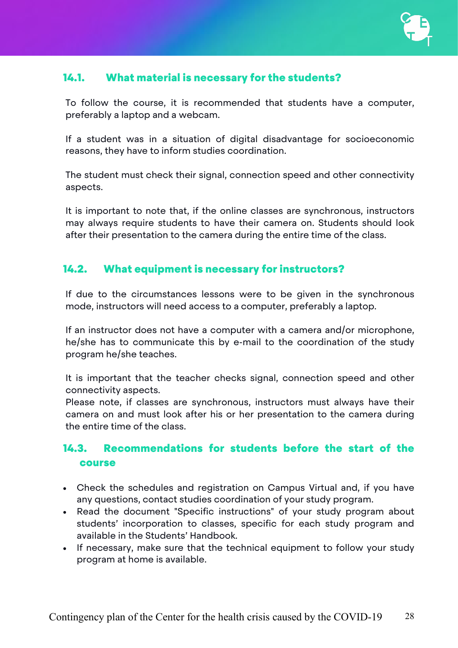## <span id="page-27-0"></span>14.1. What material is necessary for the students?

To follow the course, it is recommended that students have a computer, preferably a laptop and a webcam.

If a student was in a situation of digital disadvantage for socioeconomic reasons, they have to inform studies coordination.

The student must check their signal, connection speed and other connectivity aspects.

It is important to note that, if the online classes are synchronous, instructors may always require students to have their camera on. Students should look after their presentation to the camera during the entire time of the class.

## <span id="page-27-1"></span>14.2. What equipment is necessary for instructors?

If due to the circumstances lessons were to be given in the synchronous mode, instructors will need access to a computer, preferably a laptop.

If an instructor does not have a computer with a camera and/or microphone, he/she has to communicate this by e-mail to the coordination of the study program he/she teaches.

It is important that the teacher checks signal, connection speed and other connectivity aspects.

Please note, if classes are synchronous, instructors must always have their camera on and must look after his or her presentation to the camera during the entire time of the class.

## <span id="page-27-2"></span>14.3. Recommendations for students before the start of the course

- Check the schedules and registration on Campus Virtual and, if you have any questions, contact studies coordination of your study program.
- Read the document "Specific instructions" of your study program about students' incorporation to classes, specific for each study program and available in the Students' Handbook.
- If necessary, make sure that the technical equipment to follow your study program at home is available.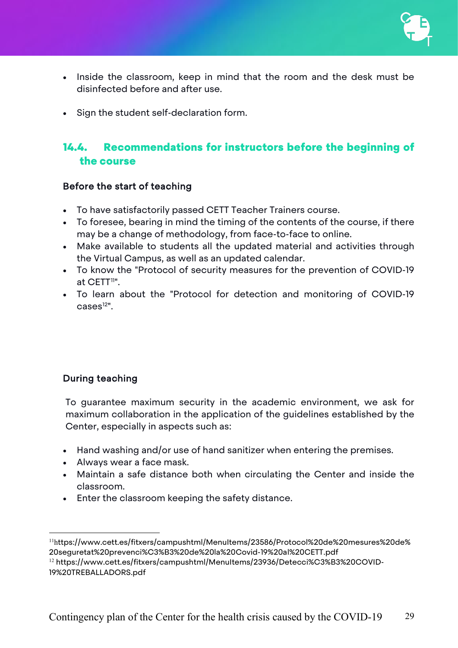- Inside the classroom, keep in mind that the room and the desk must be disinfected before and after use.
- Sign the student self-declaration form.

## <span id="page-28-0"></span>14.4. Recommendations for instructors before the beginning of the course

#### Before the start of teaching

- To have satisfactorily passed CETT Teacher Trainers course.
- To foresee, bearing in mind the timing of the contents of the course, if there may be a change of methodology, from face-to-face to online.
- Make available to students all the updated material and activities through the Virtual Campus, as well as an updated calendar.
- To know the "Protocol of security measures for the prevention of COVID-19 at CETT<sup>[11"](#page-28-1)</sup>.
- To learn about the "Protocol for detection and monitoring of COVID-19  $\text{cases}^{\frac{12\mathsf{II}}{\mathsf{}}$ .

#### During teaching

To guarantee maximum security in the academic environment, we ask for maximum collaboration in the application of the guidelines established by the Center, especially in aspects such as:

- Hand washing and/or use of hand sanitizer when entering the premises.
- Always wear a face mask.
- Maintain a safe distance both when circulating the Center and inside the classroom.
- Enter the classroom keeping the safety distance.

<span id="page-28-1"></span><sup>&</sup>lt;sup>11</sup>https://www.cett.es/fitxers/campushtml/MenuItems/23586/Protocol%20de%20mesures%20de% 20seguretat%20prevenci%C3%B3%20de%20la%20Covid-19%20al%20CETT.pdf

<span id="page-28-2"></span><sup>&</sup>lt;sup>12</sup> https://www.cett.es/fitxers/campushtml/MenuItems/23936/Detecci%C3%B3%20COVID-19%20TREBALLADORS.pdf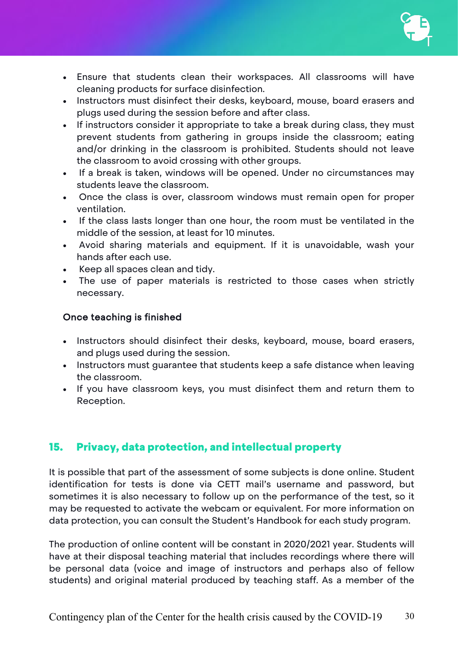

- Ensure that students clean their workspaces. All classrooms will have cleaning products for surface disinfection.
- Instructors must disinfect their desks, keyboard, mouse, board erasers and plugs used during the session before and after class.
- If instructors consider it appropriate to take a break during class, they must prevent students from gathering in groups inside the classroom; eating and/or drinking in the classroom is prohibited. Students should not leave the classroom to avoid crossing with other groups.
- If a break is taken, windows will be opened. Under no circumstances may students leave the classroom.
- Once the class is over, classroom windows must remain open for proper ventilation.
- If the class lasts longer than one hour, the room must be ventilated in the middle of the session, at least for 10 minutes.
- Avoid sharing materials and equipment. If it is unavoidable, wash your hands after each use.
- Keep all spaces clean and tidy.
- The use of paper materials is restricted to those cases when strictly necessary.

#### Once teaching is finished

- Instructors should disinfect their desks, keyboard, mouse, board erasers, and plugs used during the session.
- Instructors must guarantee that students keep a safe distance when leaving the classroom.
- If you have classroom keys, you must disinfect them and return them to Reception.

## <span id="page-29-0"></span>15. Privacy, data protection, and intellectual property

It is possible that part of the assessment of some subjects is done online. Student identification for tests is done via CETT mail's username and password, but sometimes it is also necessary to follow up on the performance of the test, so it may be requested to activate the webcam or equivalent. For more information on data protection, you can consult the Student's Handbook for each study program.

The production of online content will be constant in 2020/2021 year. Students will have at their disposal teaching material that includes recordings where there will be personal data (voice and image of instructors and perhaps also of fellow students) and original material produced by teaching staff. As a member of the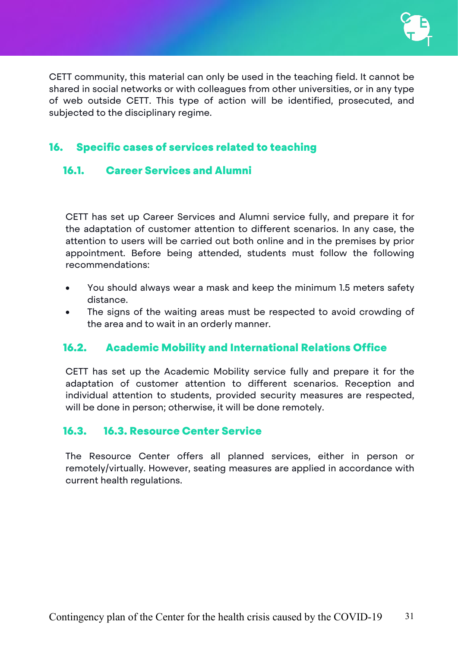

CETT community, this material can only be used in the teaching field. It cannot be shared in social networks or with colleagues from other universities, or in any type of web outside CETT. This type of action will be identified, prosecuted, and subjected to the disciplinary regime.

## <span id="page-30-0"></span>16. Specific cases of services related to teaching

## <span id="page-30-1"></span>16.1. Career Services and Alumni

CETT has set up Career Services and Alumni service fully, and prepare it for the adaptation of customer attention to different scenarios. In any case, the attention to users will be carried out both online and in the premises by prior appointment. Before being attended, students must follow the following recommendations:

- You should always wear a mask and keep the minimum 1.5 meters safety distance.
- The signs of the waiting areas must be respected to avoid crowding of the area and to wait in an orderly manner.

## <span id="page-30-2"></span>16.2. Academic Mobility and International Relations Office

CETT has set up the Academic Mobility service fully and prepare it for the adaptation of customer attention to different scenarios. Reception and individual attention to students, provided security measures are respected, will be done in person; otherwise, it will be done remotely.

## <span id="page-30-3"></span>16.3. 16.3. Resource Center Service

The Resource Center offers all planned services, either in person or remotely/virtually. However, seating measures are applied in accordance with current health regulations.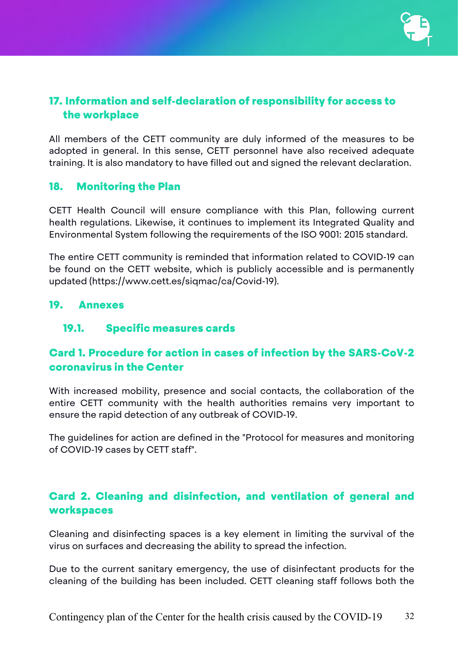

## <span id="page-31-0"></span>17. Information and self-declaration of responsibility for access to the workplace

All members of the CETT community are duly informed of the measures to be adopted in general. In this sense, CETT personnel have also received adequate training. It is also mandatory to have filled out and signed the relevant declaration.

## <span id="page-31-1"></span>18. Monitoring the Plan

CETT Health Council will ensure compliance with this Plan, following current health regulations. Likewise, it continues to implement its Integrated Quality and Environmental System following the requirements of the ISO 9001: 2015 standard.

The entire CETT community is reminded that information related to COVID-19 can be found on the CETT website, which is publicly accessible and is permanently updated (https://www.cett.es/siqmac/ca/Covid-19).

#### <span id="page-31-2"></span>19. Annexes

## <span id="page-31-3"></span>19.1. Specific measures cards

## <span id="page-31-4"></span>Card 1. Procedure for action in cases of infection by the SARS-CoV-2 coronavirus in the Center

With increased mobility, presence and social contacts, the collaboration of the entire CETT community with the health authorities remains very important to ensure the rapid detection of any outbreak of COVID-19.

The guidelines for action are defined in the "Protocol for measures and monitoring of COVID-19 cases by CETT staff".

## <span id="page-31-5"></span>Card 2. Cleaning and disinfection, and ventilation of general and workspaces

Cleaning and disinfecting spaces is a key element in limiting the survival of the virus on surfaces and decreasing the ability to spread the infection.

Due to the current sanitary emergency, the use of disinfectant products for the cleaning of the building has been included. CETT cleaning staff follows both the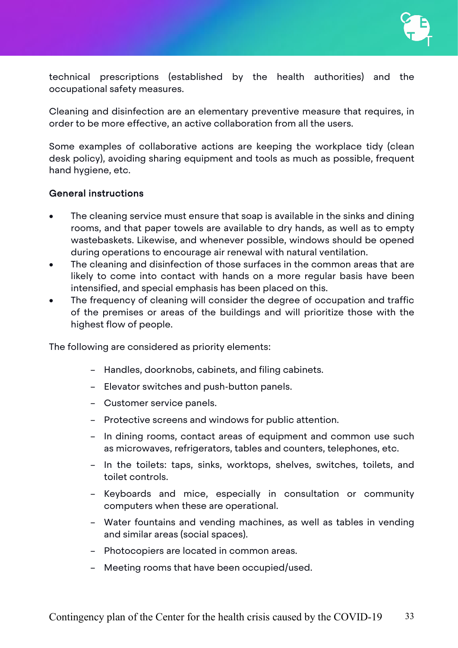technical prescriptions (established by the health authorities) and the occupational safety measures.

Cleaning and disinfection are an elementary preventive measure that requires, in order to be more effective, an active collaboration from all the users.

Some examples of collaborative actions are keeping the workplace tidy (clean desk policy), avoiding sharing equipment and tools as much as possible, frequent hand hygiene, etc.

#### General instructions

- The cleaning service must ensure that soap is available in the sinks and dining rooms, and that paper towels are available to dry hands, as well as to empty wastebaskets. Likewise, and whenever possible, windows should be opened during operations to encourage air renewal with natural ventilation.
- The cleaning and disinfection of those surfaces in the common areas that are likely to come into contact with hands on a more regular basis have been intensified, and special emphasis has been placed on this.
- The frequency of cleaning will consider the degree of occupation and traffic of the premises or areas of the buildings and will prioritize those with the highest flow of people.

The following are considered as priority elements:

- Handles, doorknobs, cabinets, and filing cabinets.
- Elevator switches and push-button panels.
- Customer service panels.
- Protective screens and windows for public attention.
- In dining rooms, contact areas of equipment and common use such as microwaves, refrigerators, tables and counters, telephones, etc.
- In the toilets: taps, sinks, worktops, shelves, switches, toilets, and toilet controls.
- Keyboards and mice, especially in consultation or community computers when these are operational.
- Water fountains and vending machines, as well as tables in vending and similar areas (social spaces).
- Photocopiers are located in common areas.
- Meeting rooms that have been occupied/used.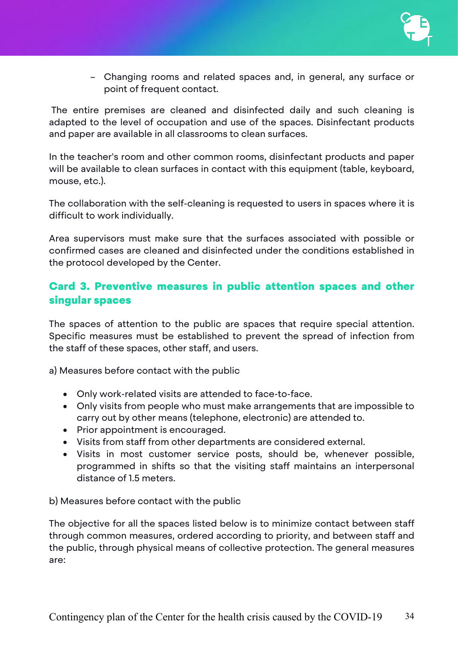– Changing rooms and related spaces and, in general, any surface or point of frequent contact.

The entire premises are cleaned and disinfected daily and such cleaning is adapted to the level of occupation and use of the spaces. Disinfectant products and paper are available in all classrooms to clean surfaces.

In the teacher's room and other common rooms, disinfectant products and paper will be available to clean surfaces in contact with this equipment (table, keyboard, mouse, etc.).

The collaboration with the self-cleaning is requested to users in spaces where it is difficult to work individually.

Area supervisors must make sure that the surfaces associated with possible or confirmed cases are cleaned and disinfected under the conditions established in the protocol developed by the Center.

## <span id="page-33-0"></span>Card 3. Preventive measures in public attention spaces and other singular spaces

The spaces of attention to the public are spaces that require special attention. Specific measures must be established to prevent the spread of infection from the staff of these spaces, other staff, and users.

a) Measures before contact with the public

- Only work-related visits are attended to face-to-face.
- Only visits from people who must make arrangements that are impossible to carry out by other means (telephone, electronic) are attended to.
- Prior appointment is encouraged.
- Visits from staff from other departments are considered external.
- Visits in most customer service posts, should be, whenever possible, programmed in shifts so that the visiting staff maintains an interpersonal distance of 1.5 meters.

b) Measures before contact with the public

The objective for all the spaces listed below is to minimize contact between staff through common measures, ordered according to priority, and between staff and the public, through physical means of collective protection. The general measures are: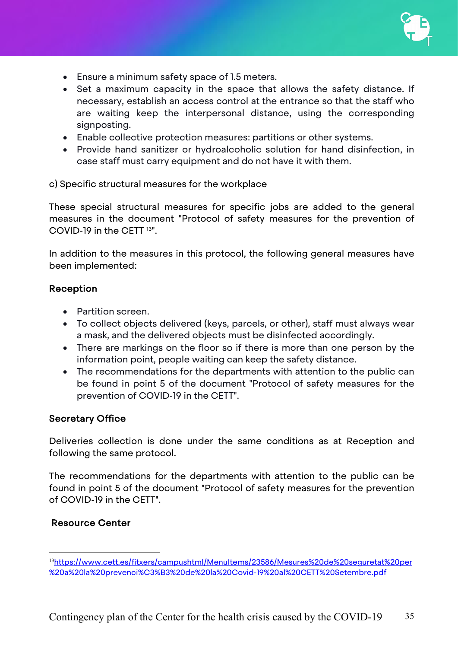

- Ensure a minimum safety space of 1.5 meters.
- Set a maximum capacity in the space that allows the safety distance. If necessary, establish an access control at the entrance so that the staff who are waiting keep the interpersonal distance, using the corresponding signposting.
- Enable collective protection measures: partitions or other systems.
- Provide hand sanitizer or hydroalcoholic solution for hand disinfection, in case staff must carry equipment and do not have it with them.

c) Specific structural measures for the workplace

These special structural measures for specific jobs are added to the general measures in the document "Protocol of safety measures for the prevention of COVID-19 in the CETT [13](#page-34-0)".

In addition to the measures in this protocol, the following general measures have been implemented:

#### Reception

- Partition screen.
- To collect objects delivered (keys, parcels, or other), staff must always wear a mask, and the delivered objects must be disinfected accordingly.
- There are markings on the floor so if there is more than one person by the information point, people waiting can keep the safety distance.
- The recommendations for the departments with attention to the public can be found in point 5 of the document "Protocol of safety measures for the prevention of COVID-19 in the CETT".

#### Secretary Office

Deliveries collection is done under the same conditions as at Reception and following the same protocol.

The recommendations for the departments with attention to the public can be found in point 5 of the document "Protocol of safety measures for the prevention of COVID-19 in the CETT".

#### Resource Center

<span id="page-34-0"></span><sup>&</sup>lt;sup>13</sup>[https://www.cett.es/fitxers/campushtml/MenuItems/23586/Mesures%20de%20seguretat%20per](https://www.cett.es/fitxers/campushtml/MenuItems/23586/Mesures%20de%20seguretat%20per%20a%20la%20prevenci%C3%B3%20de%20la%20Covid-19%20al%20CETT%20Setembre.pdf) [%20a%20la%20prevenci%C3%B3%20de%20la%20Covid-19%20al%20CETT%20Setembre.pdf](https://www.cett.es/fitxers/campushtml/MenuItems/23586/Mesures%20de%20seguretat%20per%20a%20la%20prevenci%C3%B3%20de%20la%20Covid-19%20al%20CETT%20Setembre.pdf)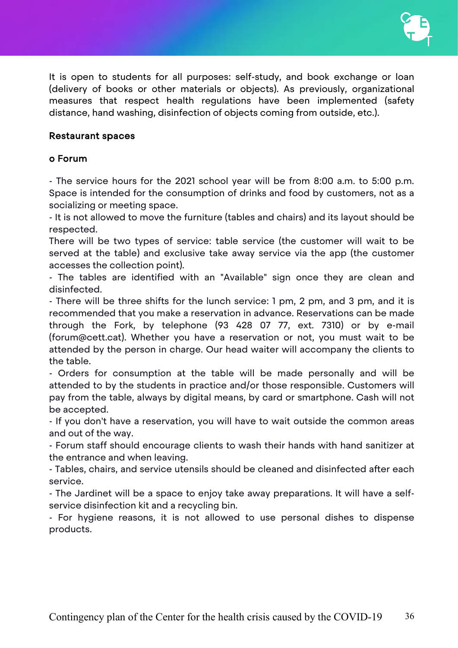It is open to students for all purposes: self-study, and book exchange or loan (delivery of books or other materials or objects). As previously, organizational measures that respect health regulations have been implemented (safety distance, hand washing, disinfection of objects coming from outside, etc.).

#### Restaurant spaces

#### o Forum

- The service hours for the 2021 school year will be from 8:00 a.m. to 5:00 p.m. Space is intended for the consumption of drinks and food by customers, not as a socializing or meeting space.

- It is not allowed to move the furniture (tables and chairs) and its layout should be respected.

There will be two types of service: table service (the customer will wait to be served at the table) and exclusive take away service via the app (the customer accesses the collection point).

- The tables are identified with an "Available" sign once they are clean and disinfected.

- There will be three shifts for the lunch service: 1 pm, 2 pm, and 3 pm, and it is recommended that you make a reservation in advance. Reservations can be made through the Fork, by telephone (93 428 07 77, ext. 7310) or by e-mail (forum@cett.cat). Whether you have a reservation or not, you must wait to be attended by the person in charge. Our head waiter will accompany the clients to the table.

- Orders for consumption at the table will be made personally and will be attended to by the students in practice and/or those responsible. Customers will pay from the table, always by digital means, by card or smartphone. Cash will not be accepted.

- If you don't have a reservation, you will have to wait outside the common areas and out of the way.

- Forum staff should encourage clients to wash their hands with hand sanitizer at the entrance and when leaving.

- Tables, chairs, and service utensils should be cleaned and disinfected after each service.

- The Jardinet will be a space to enjoy take away preparations. It will have a selfservice disinfection kit and a recycling bin.

- For hygiene reasons, it is not allowed to use personal dishes to dispense products.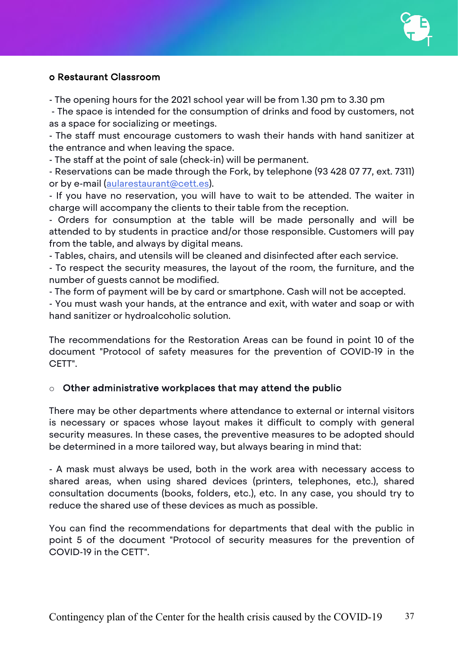

#### o Restaurant Classroom

- The opening hours for the 2021 school year will be from 1.30 pm to 3.30 pm

- The space is intended for the consumption of drinks and food by customers, not as a space for socializing or meetings.

- The staff must encourage customers to wash their hands with hand sanitizer at the entrance and when leaving the space.

- The staff at the point of sale (check-in) will be permanent.

- Reservations can be made through the Fork, by telephone (93 428 07 77, ext. 7311) or by e-mail [\(aularestaurant@cett.es\)](mailto:aularestaurant@cett.es).

- If you have no reservation, you will have to wait to be attended. The waiter in charge will accompany the clients to their table from the reception.

- Orders for consumption at the table will be made personally and will be attended to by students in practice and/or those responsible. Customers will pay from the table, and always by digital means.

- Tables, chairs, and utensils will be cleaned and disinfected after each service.

- To respect the security measures, the layout of the room, the furniture, and the number of guests cannot be modified.

- The form of payment will be by card or smartphone. Cash will not be accepted.

- You must wash your hands, at the entrance and exit, with water and soap or with hand sanitizer or hydroalcoholic solution.

The recommendations for the Restoration Areas can be found in point 10 of the document "Protocol of safety measures for the prevention of COVID-19 in the CETT".

#### $\circ$  Other administrative workplaces that may attend the public

There may be other departments where attendance to external or internal visitors is necessary or spaces whose layout makes it difficult to comply with general security measures. In these cases, the preventive measures to be adopted should be determined in a more tailored way, but always bearing in mind that:

- A mask must always be used, both in the work area with necessary access to shared areas, when using shared devices (printers, telephones, etc.), shared consultation documents (books, folders, etc.), etc. In any case, you should try to reduce the shared use of these devices as much as possible.

You can find the recommendations for departments that deal with the public in point 5 of the document "Protocol of security measures for the prevention of COVID-19 in the CETT".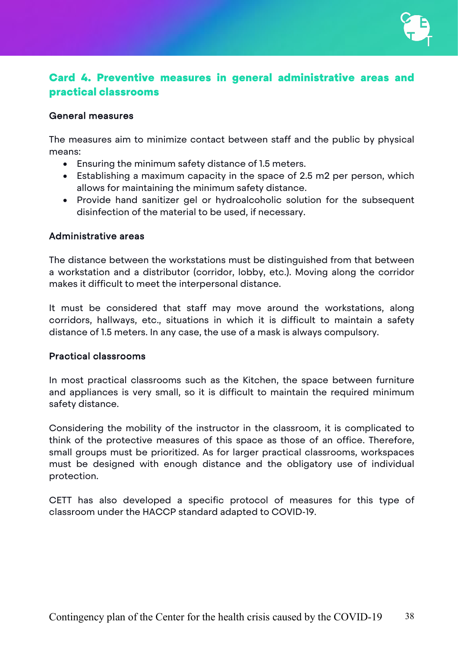

## <span id="page-37-0"></span>Card 4. Preventive measures in general administrative areas and practical classrooms

#### General measures

The measures aim to minimize contact between staff and the public by physical means:

- Ensuring the minimum safety distance of 1.5 meters.
- Establishing a maximum capacity in the space of 2.5 m2 per person, which allows for maintaining the minimum safety distance.
- Provide hand sanitizer gel or hydroalcoholic solution for the subsequent disinfection of the material to be used, if necessary.

#### Administrative areas

The distance between the workstations must be distinguished from that between a workstation and a distributor (corridor, lobby, etc.). Moving along the corridor makes it difficult to meet the interpersonal distance.

It must be considered that staff may move around the workstations, along corridors, hallways, etc., situations in which it is difficult to maintain a safety distance of 1.5 meters. In any case, the use of a mask is always compulsory.

#### Practical classrooms

In most practical classrooms such as the Kitchen, the space between furniture and appliances is very small, so it is difficult to maintain the required minimum safety distance.

Considering the mobility of the instructor in the classroom, it is complicated to think of the protective measures of this space as those of an office. Therefore, small groups must be prioritized. As for larger practical classrooms, workspaces must be designed with enough distance and the obligatory use of individual protection.

CETT has also developed a specific protocol of measures for this type of classroom under the HACCP standard adapted to COVID-19.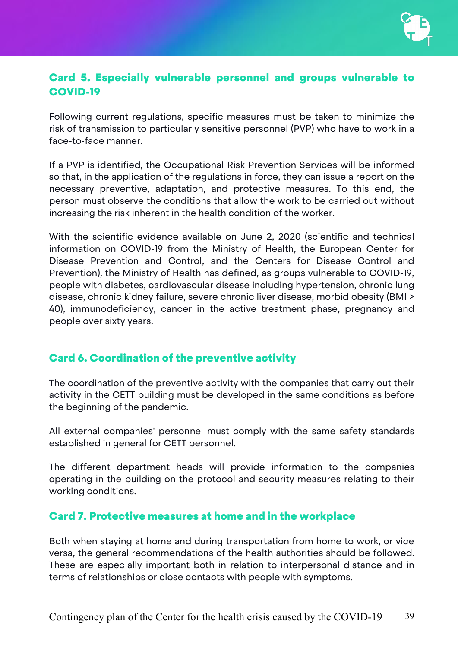

## <span id="page-38-0"></span>Card 5. Especially vulnerable personnel and groups vulnerable to COVID-19

Following current regulations, specific measures must be taken to minimize the risk of transmission to particularly sensitive personnel (PVP) who have to work in a face-to-face manner.

If a PVP is identified, the Occupational Risk Prevention Services will be informed so that, in the application of the regulations in force, they can issue a report on the necessary preventive, adaptation, and protective measures. To this end, the person must observe the conditions that allow the work to be carried out without increasing the risk inherent in the health condition of the worker.

With the scientific evidence available on June 2, 2020 (scientific and technical information on COVID-19 from the Ministry of Health, the European Center for Disease Prevention and Control, and the Centers for Disease Control and Prevention), the Ministry of Health has defined, as groups vulnerable to COVID-19, people with diabetes, cardiovascular disease including hypertension, chronic lung disease, chronic kidney failure, severe chronic liver disease, morbid obesity (BMI > 40), immunodeficiency, cancer in the active treatment phase, pregnancy and people over sixty years.

## <span id="page-38-1"></span>Card 6. Coordination of the preventive activity

The coordination of the preventive activity with the companies that carry out their activity in the CETT building must be developed in the same conditions as before the beginning of the pandemic.

All external companies' personnel must comply with the same safety standards established in general for CETT personnel.

The different department heads will provide information to the companies operating in the building on the protocol and security measures relating to their working conditions.

## <span id="page-38-2"></span>Card 7. Protective measures at home and in the workplace

Both when staying at home and during transportation from home to work, or vice versa, the general recommendations of the health authorities should be followed. These are especially important both in relation to interpersonal distance and in terms of relationships or close contacts with people with symptoms.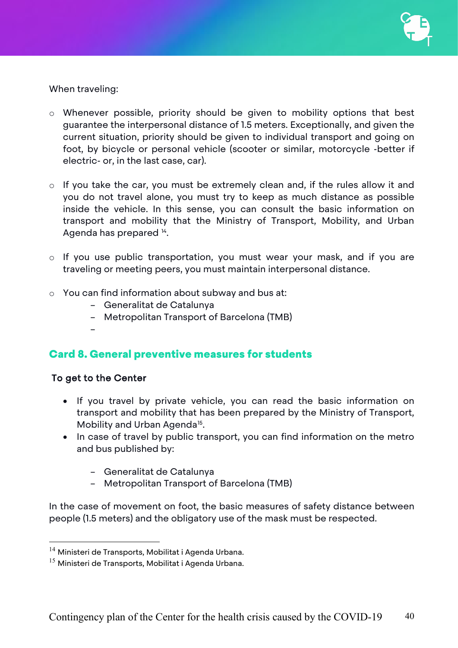When traveling:

- o Whenever possible, priority should be given to mobility options that best guarantee the interpersonal distance of 1.5 meters. Exceptionally, and given the current situation, priority should be given to individual transport and going on foot, by bicycle or personal vehicle (scooter or similar, motorcycle -better if electric- or, in the last case, car).
- o If you take the car, you must be extremely clean and, if the rules allow it and you do not travel alone, you must try to keep as much distance as possible inside the vehicle. In this sense, you can consult the basic information on transport and mobility that the Ministry of Transport, Mobility, and Urban Agenda has prepared [14](#page-39-1).
- o If you use public transportation, you must wear your mask, and if you are traveling or meeting peers, you must maintain interpersonal distance.
- o You can find information about subway and bus at:
	- Generalitat de Catalunya
	- Metropolitan Transport of Barcelona (TMB)
- <span id="page-39-0"></span>Card 8. General preventive measures for students

## To get to the Center

–

- If you travel by private vehicle, you can read the basic information on transport and mobility that has been prepared by the Ministry of Transport, Mobility and Urban Agenda<sup>[15](#page-39-2)</sup>.
- In case of travel by public transport, you can find information on the metro and bus published by:
	- Generalitat de Catalunya
	- Metropolitan Transport of Barcelona (TMB)

In the case of movement on foot, the basic measures of safety distance between people (1.5 meters) and the obligatory use of the mask must be respected.

<span id="page-39-1"></span><sup>&</sup>lt;sup>14</sup> Ministeri de Transports, Mobilitat i Agenda Urbana.

<span id="page-39-2"></span> $15$  Ministeri de Transports, Mobilitat i Agenda Urbana.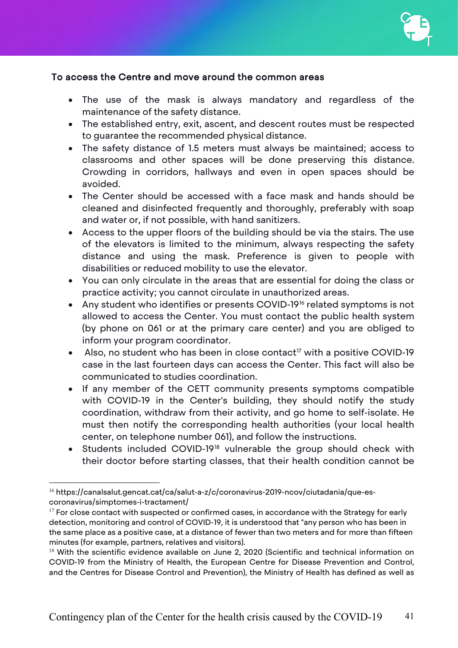

#### To access the Centre and move around the common areas

- The use of the mask is always mandatory and regardless of the maintenance of the safety distance.
- The established entry, exit, ascent, and descent routes must be respected to guarantee the recommended physical distance.
- The safety distance of 1.5 meters must always be maintained; access to classrooms and other spaces will be done preserving this distance. Crowding in corridors, hallways and even in open spaces should be avoided.
- The Center should be accessed with a face mask and hands should be cleaned and disinfected frequently and thoroughly, preferably with soap and water or, if not possible, with hand sanitizers.
- Access to the upper floors of the building should be via the stairs. The use of the elevators is limited to the minimum, always respecting the safety distance and using the mask. Preference is given to people with disabilities or reduced mobility to use the elevator.
- You can only circulate in the areas that are essential for doing the class or practice activity; you cannot circulate in unauthorized areas.
- Any student who identifies or presents COVID-19<sup>[16](#page-40-0)</sup> related symptoms is not allowed to access the Center. You must contact the public health system (by phone on 061 or at the primary care center) and you are obliged to inform your program coordinator.
- Also, no student who has been in close contact<sup>[17](#page-40-1)</sup> with a positive COVID-19 case in the last fourteen days can access the Center. This fact will also be communicated to studies coordination.
- If any member of the CETT community presents symptoms compatible with COVID-19 in the Center's building, they should notify the study coordination, withdraw from their activity, and go home to self-isolate. He must then notify the corresponding health authorities (your local health center, on telephone number 061), and follow the instructions.
- Students included COVID-19[18](#page-40-2) vulnerable the group should check with their doctor before starting classes, that their health condition cannot be

<span id="page-40-0"></span><sup>&</sup>lt;sup>16</sup> https://canalsalut.gencat.cat/ca/salut-a-z/c/coronavirus-2019-ncov/ciutadania/que-escoronavirus/simptomes-i-tractament/

<span id="page-40-1"></span> $17$  For close contact with suspected or confirmed cases, in accordance with the Strategy for early detection, monitoring and control of COVID-19, it is understood that "any person who has been in the same place as a positive case, at a distance of fewer than two meters and for more than fifteen minutes (for example, partners, relatives and visitors).

<span id="page-40-2"></span> $18$  With the scientific evidence available on June 2, 2020 (Scientific and technical information on COVID-19 from the Ministry of Health, the European Centre for Disease Prevention and Control, and the Centres for Disease Control and Prevention), the Ministry of Health has defined as well as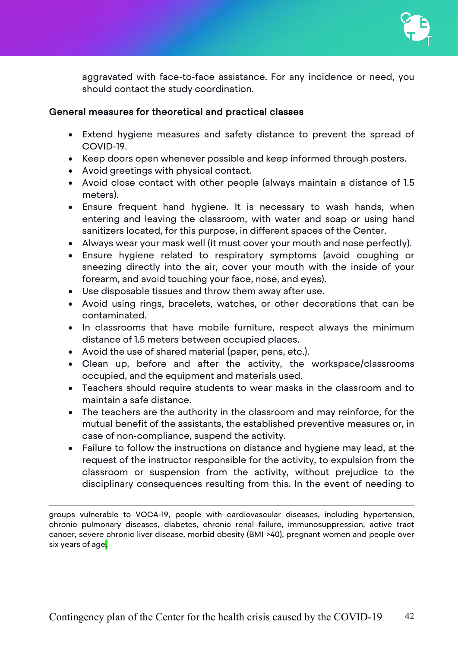aggravated with face-to-face assistance. For any incidence or need, you should contact the study coordination.

#### General measures for theoretical and practical classes

- Extend hygiene measures and safety distance to prevent the spread of COVID-19.
- Keep doors open whenever possible and keep informed through posters.
- Avoid greetings with physical contact.
- Avoid close contact with other people (always maintain a distance of 1.5 meters).
- Ensure frequent hand hygiene. It is necessary to wash hands, when entering and leaving the classroom, with water and soap or using hand sanitizers located, for this purpose, in different spaces of the Center.
- Always wear your mask well (it must cover your mouth and nose perfectly).
- Ensure hygiene related to respiratory symptoms (avoid coughing or sneezing directly into the air, cover your mouth with the inside of your forearm, and avoid touching your face, nose, and eyes).
- Use disposable tissues and throw them away after use.
- Avoid using rings, bracelets, watches, or other decorations that can be contaminated.
- In classrooms that have mobile furniture, respect always the minimum distance of 1.5 meters between occupied places.
- Avoid the use of shared material (paper, pens, etc.).

 $\overline{a}$ 

- Clean up, before and after the activity, the workspace/classrooms occupied, and the equipment and materials used.
- Teachers should require students to wear masks in the classroom and to maintain a safe distance.
- The teachers are the authority in the classroom and may reinforce, for the mutual benefit of the assistants, the established preventive measures or, in case of non-compliance, suspend the activity.
- Failure to follow the instructions on distance and hygiene may lead, at the request of the instructor responsible for the activity, to expulsion from the classroom or suspension from the activity, without prejudice to the disciplinary consequences resulting from this. In the event of needing to

groups vulnerable to VOCA-19, people with cardiovascular diseases, including hypertension, chronic pulmonary diseases, diabetes, chronic renal failure, immunosuppression, active tract cancer, severe chronic liver disease, morbid obesity (BMI >40), pregnant women and people over six years of age.